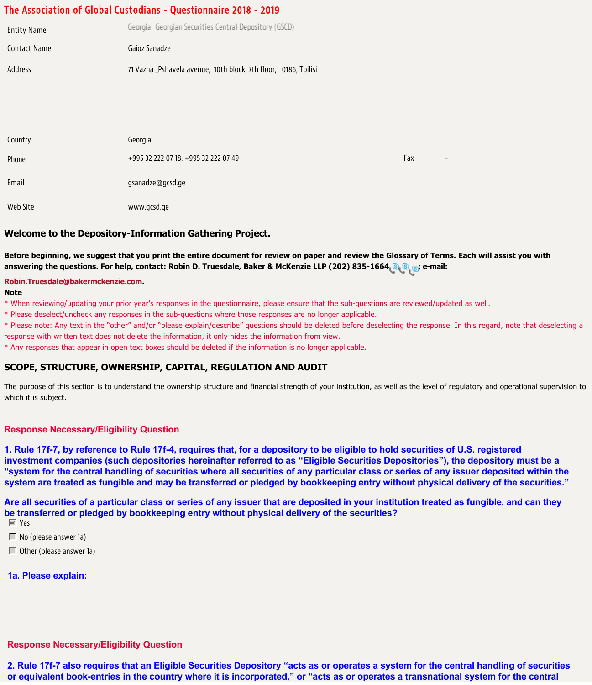# The Association of Global Custodians - Questionnaire 2018 - 2019

| <b>Entity Name</b> | Georgia Georgian Securities Central Depository (GSCD)           |  |  |  |
|--------------------|-----------------------------------------------------------------|--|--|--|
| Contact Name       | Gaioz Sanadze                                                   |  |  |  |
| Address            | 71 Vazha _Pshavela avenue, 10th block, 7th floor, 0186, Tbilisi |  |  |  |

| Country  | Georgia                              |                                 |  |
|----------|--------------------------------------|---------------------------------|--|
| Phone    | +995 32 222 07 18, +995 32 222 07 49 | Fax<br>$\overline{\phantom{0}}$ |  |
| Email    | gsanadze@gcsd.ge                     |                                 |  |
| Web Site | www.gcsd.ge                          |                                 |  |

### **Welcome to the Depository-Information Gathering Project.**

**Before beginning, we suggest that you print the entire document for review on paper and review the Glossary of Terms. Each will assist you with answering the questions. For help, contact: Robin D. Truesdale, Baker & McKenzie LLP (202) 835-1664 ; e-mail:**

#### **[Robin.Truesdale@bakermckenzie.com.](mailto:Robin.Truesdale@bakermckenzie.com)**

#### **Note**

\* When reviewing/updating your prior year's responses in the questionnaire, please ensure that the sub-questions are reviewed/updated as well.

\* Please deselect/uncheck any responses in the sub-questions where those responses are no longer applicable.

\* Please note: Any text in the "other" and/or "please explain/describe" questions should be deleted before deselecting the response. In this regard, note that deselecting a response with written text does not delete the information, it only hides the information from view.

\* Any responses that appear in open text boxes should be deleted if the information is no longer applicable.

## **SCOPE, STRUCTURE, OWNERSHIP, CAPITAL, REGULATION AND AUDIT**

The purpose of this section is to understand the ownership structure and financial strength of your institution, as well as the level of regulatory and operational supervision to which it is subject.

#### **Response Necessary/Eligibility Question**

**1. Rule 17f-7, by reference to Rule 17f-4, requires that, for a depository to be eligible to hold securities of U.S. registered investment companies (such depositories hereinafter referred to as "Eligible Securities Depositories"), the depository must be a "system for the central handling of securities where all securities of any particular class or series of any issuer deposited within the system are treated as fungible and may be transferred or pledged by bookkeeping entry without physical delivery of the securities."**

**Are all securities of a particular class or series of any issuer that are deposited in your institution treated as fungible, and can they be transferred or pledged by bookkeeping entry without physical delivery of the securities?** Yes

 $\blacksquare$  No (please answer 1a)

Other (please answer 1a)

#### **1a. Please explain:**

### **Response Necessary/Eligibility Question**

**2. Rule 17f-7 also requires that an Eligible Securities Depository "acts as or operates a system for the central handling of securities or equivalent book-entries in the country where it is incorporated," or "acts as or operates a transnational system for the central**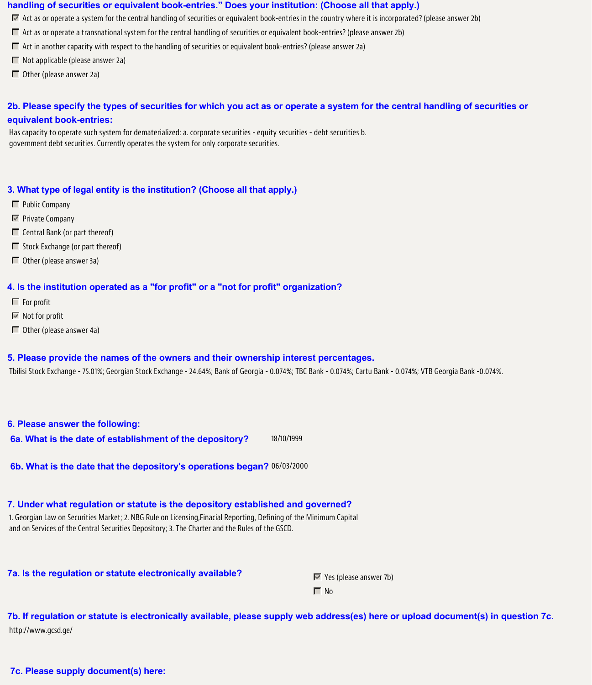#### **handling of securities or equivalent book-entries." Does your institution: (Choose all that apply.)**

- $\overline{M}$  Act as or operate a system for the central handling of securities or equivalent book-entries in the country where it is incorporated? (please answer 2b)
- Act as or operate a transnational system for the central handling of securities or equivalent book-entries? (please answer 2b)
- $\Box$  Act in another capacity with respect to the handling of securities or equivalent book-entries? (please answer 2a)
- $\Box$  Not applicable (please answer 2a)
- $\Box$  Other (please answer 2a)

# **2b. Please specify the types of securities for which you act as or operate a system for the central handling of securities or equivalent book-entries:**

Has capacity to operate such system for dematerialized: a. corporate securities - equity securities - debt securities b. government debt securities. Currently operates the system for only corporate securities.

### **3. What type of legal entity is the institution? (Choose all that apply.)**

- **F** Public Company
- $\nabla$  Private Company
- $\Box$  Central Bank (or part thereof)
- $\Box$  Stock Exchange (or part thereof)
- Other (please answer 3a)

#### **4. Is the institution operated as a "for profit" or a "not for profit" organization?**

- $\blacksquare$  For profit
- $\blacksquare$  Not for profit
- $\Box$  Other (please answer 4a)

#### **5. Please provide the names of the owners and their ownership interest percentages.**

Tbilisi Stock Exchange - 75.01%; Georgian Stock Exchange - 24.64%; Bank of Georgia - 0.074%; TBC Bank - 0.074%; Cartu Bank - 0.074%; VTB Georgia Bank -0.074%.

#### **6. Please answer the following:**

**6a. What is the date of establishment of the depository?** 18/10/1999

**6b. What is the date that the depository's operations began?** 06/03/2000

#### **7. Under what regulation or statute is the depository established and governed?**

1. Georgian Law on Securities Market; 2. NBG Rule on Licensing,Finacial Reporting, Defining of the Minimum Capital and on Services of the Central Securities Depository; 3. The Charter and the Rules of the GSCD.

**7a. Is the regulation or statute electronically available?**  $\mathbb{F}$  Yes (please answer 7b)

 $\Box$  No

**7b. If regulation or statute is electronically available, please supply web address(es) here or upload document(s) in question 7c.** http://www.gcsd.ge/

**7c. Please supply document(s) here:**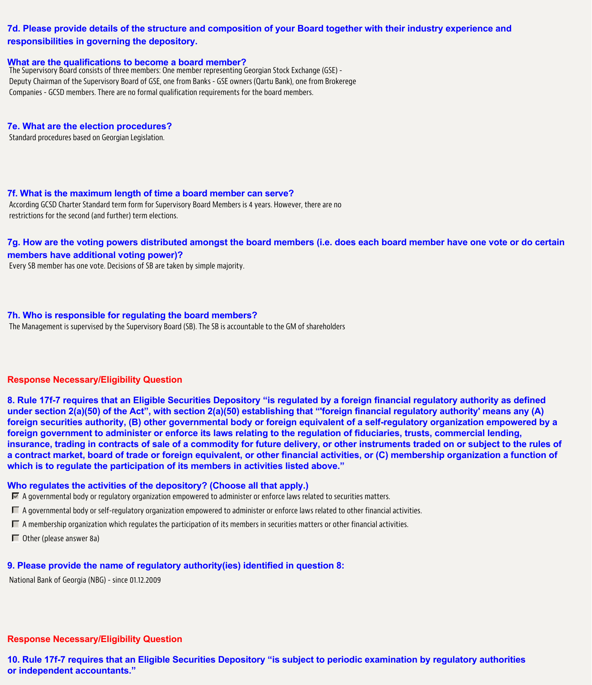# **7d. Please provide details of the structure and composition of your Board together with their industry experience and responsibilities in governing the depository.**

#### **What are the qualifications to become a board member?**

The Supervisory Board consists of three members: One member representing Georgian Stock Exchange (GSE) - Deputy Chairman of the Supervisory Board of GSE, one from Banks - GSE owners (Qartu Bank), one from Brokerege Companies - GCSD members. There are no formal qualification requirements for the board members.

#### **7e. What are the election procedures?**

Standard procedures based on Georgian Legislation.

#### **7f. What is the maximum length of time a board member can serve?**

According GCSD Charter Standard term form for Supervisory Board Members is 4 years. However, there are no restrictions for the second (and further) term elections.

**7g. How are the voting powers distributed amongst the board members (i.e. does each board member have one vote or do certain members have additional voting power)?**

Every SB member has one vote. Decisions of SB are taken by simple majority.

#### **7h. Who is responsible for regulating the board members?**

The Management is supervised by the Supervisory Board (SB). The SB is accountable to the GM of shareholders

#### **Response Necessary/Eligibility Question**

**8. Rule 17f-7 requires that an Eligible Securities Depository "is regulated by a foreign financial regulatory authority as defined under section 2(a)(50) of the Act", with section 2(a)(50) establishing that "'foreign financial regulatory authority' means any (A) foreign securities authority, (B) other governmental body or foreign equivalent of a self-regulatory organization empowered by a foreign government to administer or enforce its laws relating to the regulation of fiduciaries, trusts, commercial lending, insurance, trading in contracts of sale of a commodity for future delivery, or other instruments traded on or subject to the rules of a contract market, board of trade or foreign equivalent, or other financial activities, or (C) membership organization a function of which is to regulate the participation of its members in activities listed above."**

#### **Who regulates the activities of the depository? (Choose all that apply.)**

 $\overline{M}$  A governmental body or regulatory organization empowered to administer or enforce laws related to securities matters.

- A governmental body or self-regulatory organization empowered to administer or enforce laws related to other financial activities.
- $\Box$  A membership organization which regulates the participation of its members in securities matters or other financial activities.
- $\Box$  Other (please answer 8a)

#### **9. Please provide the name of regulatory authority(ies) identified in question 8:**

National Bank of Georgia (NBG) - since 01.12.2009

#### **Response Necessary/Eligibility Question**

**10. Rule 17f-7 requires that an Eligible Securities Depository "is subject to periodic examination by regulatory authorities or independent accountants."**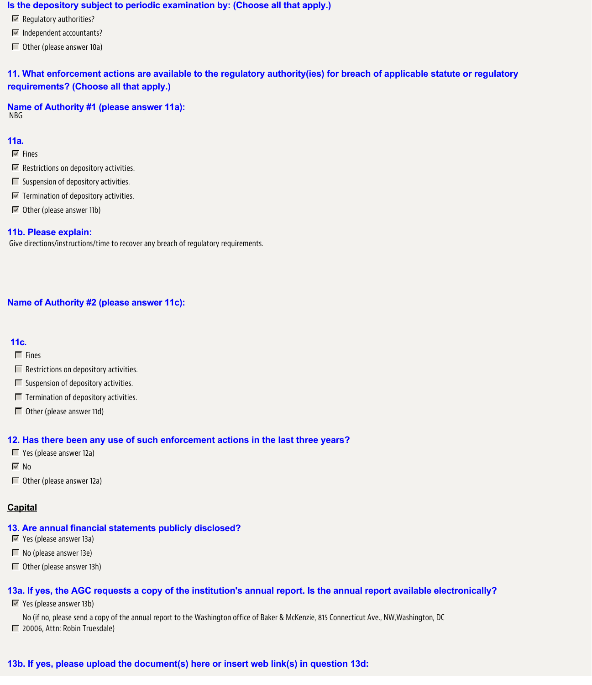#### **Is the depository subject to periodic examination by: (Choose all that apply.)**

- $\overline{\mathbb{F}}$  Regulatory authorities?
- Independent accountants?
- Other (please answer 10a)

**11. What enforcement actions are available to the regulatory authority(ies) for breach of applicable statute or regulatory requirements? (Choose all that apply.)**

**Name of Authority #1 (please answer 11a):** NBG

## **11a.**

- $\overline{\triangledown}$  Fines
- **Restrictions on depository activities.**
- $\Box$  Suspension of depository activities.
- $\blacksquare$  Termination of depository activities.
- $\blacksquare$  Other (please answer 11b)

#### **11b. Please explain:**

Give directions/instructions/time to recover any breach of regulatory requirements.

#### **Name of Authority #2 (please answer 11c):**

### **11c.**

- $\Gamma$  Fines
- $\Box$  Restrictions on depository activities.
- $\Box$  Suspension of depository activities.
- $\Box$  Termination of depository activities.
- $\Box$  Other (please answer 11d)

#### **12. Has there been any use of such enforcement actions in the last three years?**

- Yes (please answer 12a)
- $\nabla$  No
- Other (please answer 12a)

## **Capital**

#### **13. Are annual financial statements publicly disclosed?**

- Yes (please answer 13a)
- $\blacksquare$  No (please answer 13e)
- Other (please answer 13h)

#### **13a. If yes, the AGC requests a copy of the institution's annual report. Is the annual report available electronically?**

Yes (please answer 13b)

No (if no, please send a copy of the annual report to the Washington office of Baker & McKenzie, 815 Connecticut Ave., NW,Washington, DC

■ 20006, Attn: Robin Truesdale)

# **13b. If yes, please upload the document(s) here or insert web link(s) in question 13d:**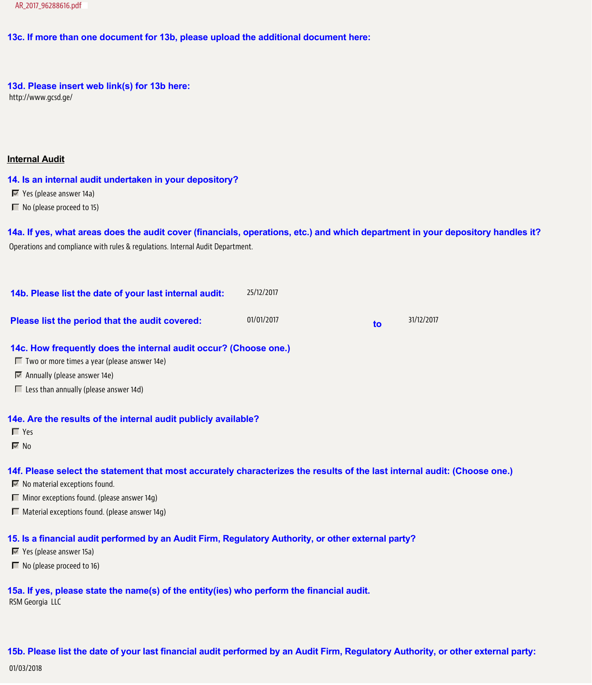### **13c. If more than one document for 13b, please upload the additional document here:**

# **13d. Please insert web link(s) for 13b here:**

http://www.gcsd.ge/

### **Internal Audit**

### **14. Is an internal audit undertaken in your depository?**

- Yes (please answer 14a)
- No (please proceed to 15)

**14a. If yes, what areas does the audit cover (financials, operations, etc.) and which department in your depository handles it?** Operations and compliance with rules & regulations. Internal Audit Department.

| 14b. Please list the date of your last internal audit: | 25/12/2017 |    |            |
|--------------------------------------------------------|------------|----|------------|
| Please list the period that the audit covered:         | 01/01/2017 | to | 31/12/2017 |

#### **14c. How frequently does the internal audit occur? (Choose one.)**

- $\Box$  Two or more times a year (please answer 14e)
- Annually (please answer 14e)
- $\Box$  Less than annually (please answer 14d)

#### **14e. Are the results of the internal audit publicly available?**

- Yes
- $\overline{\triangledown}$  No

# **14f. Please select the statement that most accurately characterizes the results of the last internal audit: (Choose one.)**

- $\blacksquare$  No material exceptions found.
- $\Box$  Minor exceptions found. (please answer 14q)
- $\Box$  Material exceptions found. (please answer 14g)

# **15. Is a financial audit performed by an Audit Firm, Regulatory Authority, or other external party?**

- Yes (please answer 15a)
- No (please proceed to 16)

**15a. If yes, please state the name(s) of the entity(ies) who perform the financial audit.** RSM Georgia LLC

**15b. Please list the date of your last financial audit performed by an Audit Firm, Regulatory Authority, or other external party:** 01/03/2018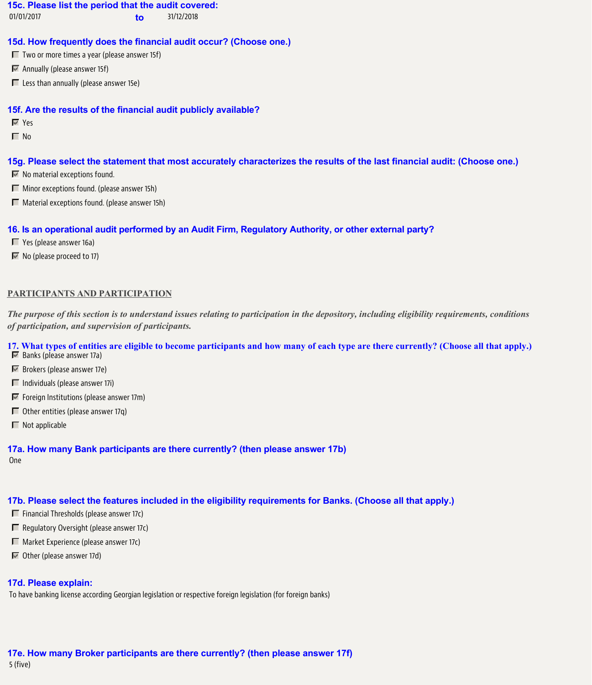#### **15c. Please list the period that the audit covered:**

01/01/2017 **to** 31/12/2018

### **15d. How frequently does the financial audit occur? (Choose one.)**

 $\blacksquare$  Two or more times a year (please answer 15f)

- $\blacksquare$  Annually (please answer 15f)
- $\Box$  Less than annually (please answer 15e)

#### **15f. Are the results of the financial audit publicly available?**

Yes

 $\Box$  No

#### **15g. Please select the statement that most accurately characterizes the results of the last financial audit: (Choose one.)**

- $\blacksquare$  No material exceptions found.
- **Minor exceptions found. (please answer 15h)**
- $\Box$  Material exceptions found. (please answer 15h)

# **16. Is an operational audit performed by an Audit Firm, Regulatory Authority, or other external party?**

- Yes (please answer 16a)
- $\overline{\mathbb{M}}$  No (please proceed to 17)

#### **PARTICIPANTS AND PARTICIPATION**

*The purpose of this section is to understand issues relating to participation in the depository, including eligibility requirements, conditions of participation, and supervision of participants.*

#### **17. What types of entities are eligible to become participants and how many of each type are there currently? (Choose all that apply.)**

- $\blacksquare$  Banks (please answer 17a)
- Brokers (please answer 17e)
- $\Box$  Individuals (please answer 17i)
- $\blacksquare$  Foreign Institutions (please answer 17m)
- $\Box$  Other entities (please answer 17q)
- $\blacksquare$  Not applicable

#### **17a. How many Bank participants are there currently? (then please answer 17b)**

One

# **17b. Please select the features included in the eligibility requirements for Banks. (Choose all that apply.)**

- $\Box$  Financial Thresholds (please answer 17c)
- $\Box$  Regulatory Oversight (please answer 17c)
- **Market Experience (please answer 17c)**
- Other (please answer 17d)

# **17d. Please explain:**

To have banking license according Georgian legislation or respective foreign legislation (for foreign banks)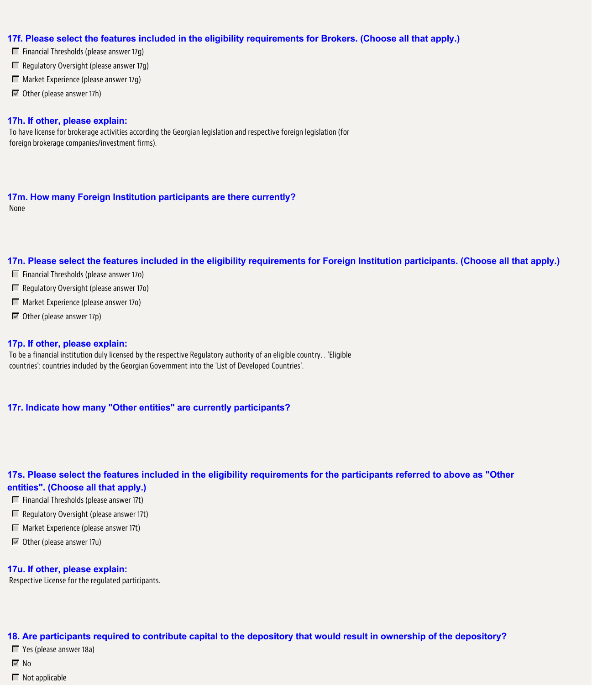### **17f. Please select the features included in the eligibility requirements for Brokers. (Choose all that apply.)**

- $\Box$  Financial Thresholds (please answer 17q)
- $\Box$  Regulatory Oversight (please answer 17g)
- $\Box$  Market Experience (please answer 17q)
- $\blacksquare$  Other (please answer 17h)

### **17h. If other, please explain:**

To have license for brokerage activities according the Georgian legislation and respective foreign legislation (for foreign brokerage companies/investment firms).

**17m. How many Foreign Institution participants are there currently?** None

#### **17n. Please select the features included in the eligibility requirements for Foreign Institution participants. (Choose all that apply.)**

- $\Box$  Financial Thresholds (please answer 170)
- $\Box$  Regulatory Oversight (please answer 170)
- Market Experience (please answer 17o)
- $\overline{\mathbb{M}}$  Other (please answer 17p)

#### **17p. If other, please explain:**

To be a financial institution duly licensed by the respective Regulatory authority of an eligible country. . 'Eligible countries': countries included by the Georgian Government into the 'List of Developed Countries'.

#### **17r. Indicate how many "Other entities" are currently participants?**

# **17s. Please select the features included in the eligibility requirements for the participants referred to above as "Other entities". (Choose all that apply.)**

- $\Box$  Financial Thresholds (please answer 17t)
- Regulatory Oversight (please answer 17t)
- Market Experience (please answer 17t)
- $\blacksquare$  Other (please answer 17u)

#### **17u. If other, please explain:**

Respective License for the regulated participants.

### **18. Are participants required to contribute capital to the depository that would result in ownership of the depository?**

- Yes (please answer 18a)
- $\overline{\triangledown}$  No
- $\blacksquare$  Not applicable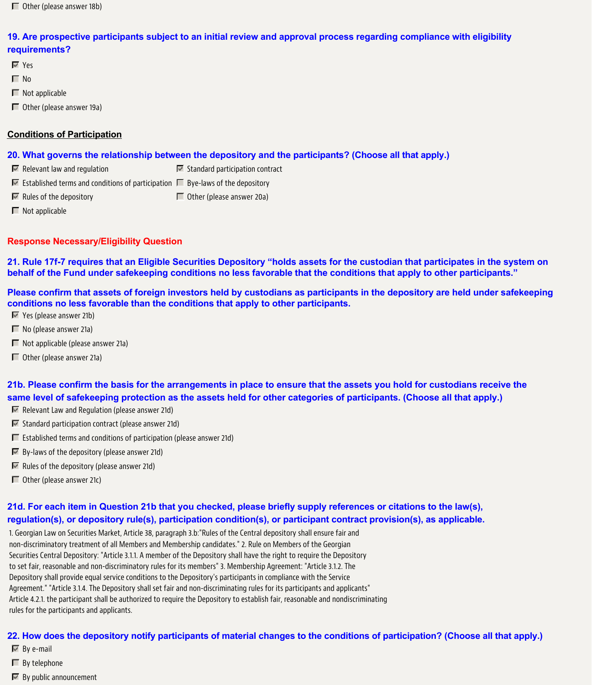# **19. Are prospective participants subject to an initial review and approval process regarding compliance with eligibility requirements?**

- Yes
- $\Box$  No
- $\blacksquare$  Not applicable
- Other (please answer 19a)

# **Conditions of Participation**

# **20. What governs the relationship between the depository and the participants? (Choose all that apply.)**

- $\blacksquare$  Relevant law and regulation Standard participation contract
- $\blacksquare$  Established terms and conditions of participation  $\blacksquare$  Bye-laws of the depository
- $\nabla$  Rules of the depository  $\Box$  Other (please answer 20a)
- $\blacksquare$  Not applicable

# **Response Necessary/Eligibility Question**

**21. Rule 17f-7 requires that an Eligible Securities Depository "holds assets for the custodian that participates in the system on behalf of the Fund under safekeeping conditions no less favorable that the conditions that apply to other participants."**

**Please confirm that assets of foreign investors held by custodians as participants in the depository are held under safekeeping conditions no less favorable than the conditions that apply to other participants.**

- Yes (please answer 21b)
- $\Box$  No (please answer 21a)
- $\Box$  Not applicable (please answer 21a)
- Other (please answer 21a)

**21b. Please confirm the basis for the arrangements in place to ensure that the assets you hold for custodians receive the same level of safekeeping protection as the assets held for other categories of participants. (Choose all that apply.)**

- $\blacksquare$  Relevant Law and Regulation (please answer 21d)
- $\blacksquare$  Standard participation contract (please answer 21d)
- $\Box$  Established terms and conditions of participation (please answer 21d)
- $\overline{\mathbb{F}}$  By-laws of the depository (please answer 21d)
- **Rules of the depository (please answer 21d)**
- $\Box$  Other (please answer 21c)

# **21d. For each item in Question 21b that you checked, please briefly supply references or citations to the law(s), regulation(s), or depository rule(s), participation condition(s), or participant contract provision(s), as applicable.**

1. Georgian Law on Securities Market, Article 38, paragraph 3.b:"Rules of the Central depository shall ensure fair and non-discriminatory treatment of all Members and Membership candidates." 2. Rule on Members of the Georgian Securities Central Depository: "Article 3.1.1. A member of the Depository shall have the right to require the Depository to set fair, reasonable and non-discriminatory rules for its members" 3. Membership Agreement: "Article 3.1.2. The Depository shall provide equal service conditions to the Depository's participants in compliance with the Service Agreement." "Article 3.1.4. The Depository shall set fair and non-discriminating rules for its participants and applicants" Article 4.2.1. the participant shall be authorized to require the Depository to establish fair, reasonable and nondiscriminating rules for the participants and applicants.

# **22. How does the depository notify participants of material changes to the conditions of participation? (Choose all that apply.)**

- $\overline{\blacksquare}$  By e-mail
- $\Box$  By telephone
- $\overline{\mathbb{F}}$  By public announcement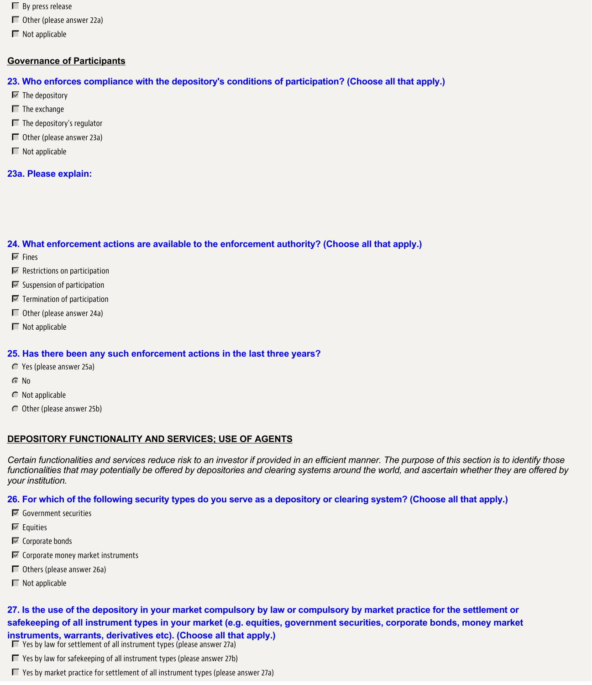- $\Box$  By press release
- Other (please answer 22a)
- $\blacksquare$  Not applicable

# **Governance of Participants**

- **23. Who enforces compliance with the depository's conditions of participation? (Choose all that apply.)**
- $\overline{\mathbf{v}}$  The depository
- $\blacksquare$  The exchange
- $\blacksquare$  The depository's regulator
- Other (please answer 23a)
- $\blacksquare$  Not applicable

# **23a. Please explain:**

# **24. What enforcement actions are available to the enforcement authority? (Choose all that apply.)**

- $\nabla$  Fines
- **Restrictions on participation**
- $\blacksquare$  Suspension of participation
- $\blacksquare$  Termination of participation
- Other (please answer 24a)
- $\Box$  Not applicable

# **25. Has there been any such enforcement actions in the last three years?**

- Yes (please answer 25a)
- G No
- $\bigcap$  Not applicable
- Other (please answer 25b)

# **DEPOSITORY FUNCTIONALITY AND SERVICES; USE OF AGENTS**

*Certain functionalities and services reduce risk to an investor if provided in an efficient manner. The purpose of this section is to identify those functionalities that may potentially be offered by depositories and clearing systems around the world, and ascertain whether they are offered by your institution.*

# **26. For which of the following security types do you serve as a depository or clearing system? (Choose all that apply.)**

- Government securities
- $\overline{\mathbb{F}}$  Equities
- $\blacksquare$  Corporate bonds
- $\blacksquare$  Corporate money market instruments
- Others (please answer 26a)
- $\blacksquare$  Not applicable

**27. Is the use of the depository in your market compulsory by law or compulsory by market practice for the settlement or safekeeping of all instrument types in your market (e.g. equities, government securities, corporate bonds, money market instruments, warrants, derivatives etc). (Choose all that apply.)**  $\Box$  Yes by law for settlement of all instrument types (please answer 27a)

- $\Box$  Yes by law for safekeeping of all instrument types (please answer 27b)
- $\blacksquare$  Yes by market practice for settlement of all instrument types (please answer 27a)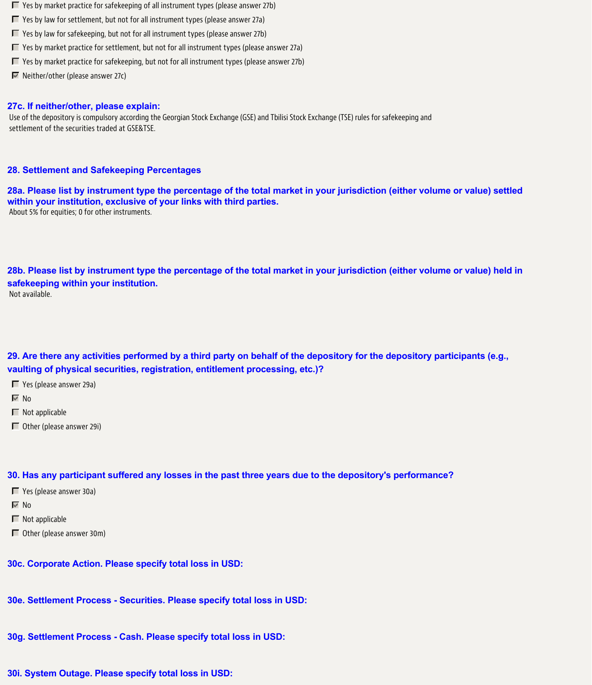- $\Box$  Yes by market practice for safekeeping of all instrument types (please answer 27b)
- $\Box$  Yes by law for settlement, but not for all instrument types (please answer 27a)
- $\Box$  Yes by law for safekeeping, but not for all instrument types (please answer 27b)
- $\blacksquare$  Yes by market practice for settlement, but not for all instrument types (please answer 27a)
- $\blacksquare$  Yes by market practice for safekeeping, but not for all instrument types (please answer 27b)
- $\blacksquare$  Neither/other (please answer 27c)

# **27c. If neither/other, please explain:**

Use of the depository is compulsory according the Georgian Stock Exchange (GSE) and Tbilisi Stock Exchange (TSE) rules for safekeeping and settlement of the securities traded at GSE&TSE.

# **28. Settlement and Safekeeping Percentages**

**28a. Please list by instrument type the percentage of the total market in your jurisdiction (either volume or value) settled within your institution, exclusive of your links with third parties.** About 5% for equities; 0 for other instruments.

**28b. Please list by instrument type the percentage of the total market in your jurisdiction (either volume or value) held in safekeeping within your institution.** Not available.

**29. Are there any activities performed by a third party on behalf of the depository for the depository participants (e.g., vaulting of physical securities, registration, entitlement processing, etc.)?**

Yes (please answer 29a)

 $\overline{M}$  No

- $\blacksquare$  Not applicable
- Other (please answer 29i)

# **30. Has any participant suffered any losses in the past three years due to the depository's performance?**

- Yes (please answer 30a)
- $\nabla$  No
- $\blacksquare$  Not applicable
- Other (please answer 30m)

**30c. Corporate Action. Please specify total loss in USD:**

- **30e. Settlement Process Securities. Please specify total loss in USD:**
- **30g. Settlement Process Cash. Please specify total loss in USD:**
- **30i. System Outage. Please specify total loss in USD:**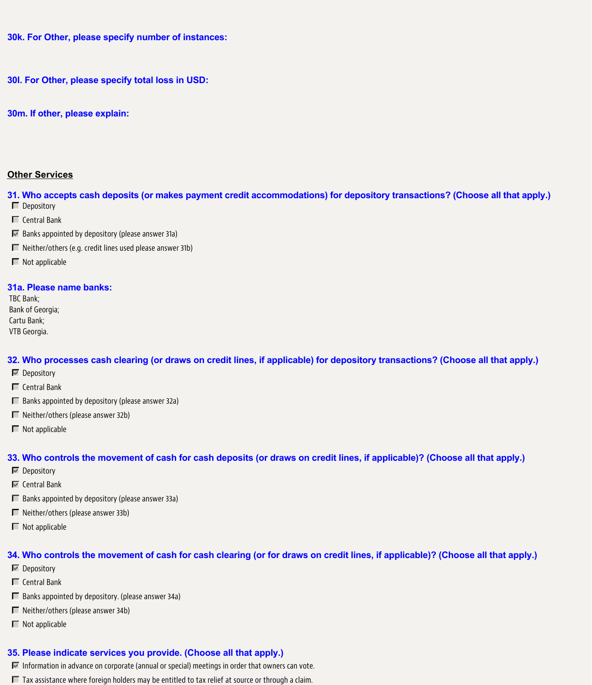**30k. For Other, please specify number of instances:**

**30l. For Other, please specify total loss in USD:**

**30m. If other, please explain:**

### **Other Services**

**31. Who accepts cash deposits (or makes payment credit accommodations) for depository transactions? (Choose all that apply.)** Depository

- $\Box$  Central Bank
- $\overline{\mathbb{F}}$  Banks appointed by depository (please answer 31a)
- $\Box$  Neither/others (e.g. credit lines used please answer 31b)
- $\Box$  Not applicable

#### **31a. Please name banks:**

TBC Bank; Bank of Georgia; Cartu Bank; VTB Georgia.

### **32. Who processes cash clearing (or draws on credit lines, if applicable) for depository transactions? (Choose all that apply.)**

- $\nabla$  Depository
- $\Box$  Central Bank
- $\Box$  Banks appointed by depository (please answer 32a)
- $\Box$  Neither/others (please answer 32b)
- $\blacksquare$  Not applicable

## **33. Who controls the movement of cash for cash deposits (or draws on credit lines, if applicable)? (Choose all that apply.)**

- $\nabla$  Depository
- $\overline{\blacksquare}$  Central Bank
- $\Box$  Banks appointed by depository (please answer 33a)
- $\Box$  Neither/others (please answer 33b)
- $\blacksquare$  Not applicable

#### **34. Who controls the movement of cash for cash clearing (or for draws on credit lines, if applicable)? (Choose all that apply.)**

- $\nabla$  Depository
- $\Box$  Central Bank
- $\Box$  Banks appointed by depository. (please answer 34a)
- $\Box$  Neither/others (please answer 34b)
- $\Box$  Not applicable

### **35. Please indicate services you provide. (Choose all that apply.)**

- $\triangledown$  Information in advance on corporate (annual or special) meetings in order that owners can vote.
- $\Box$  Tax assistance where foreign holders may be entitled to tax relief at source or through a claim.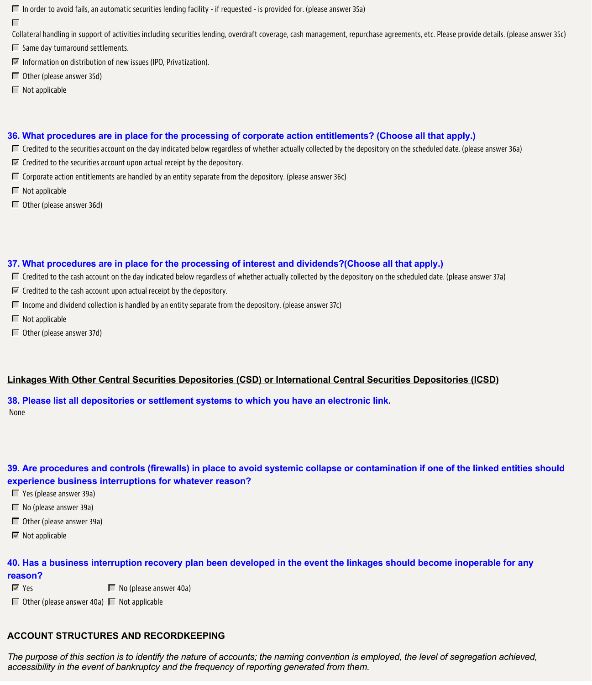$\Box$  In order to avoid fails, an automatic securities lending facility - if requested - is provided for. (please answer 35a)

П

Collateral handling in support of activities including securities lending, overdraft coverage, cash management, repurchase agreements, etc. Please provide details. (please answer 35c)

 $\Box$  Same day turnaround settlements.

 $\blacksquare$  Information on distribution of new issues (IPO, Privatization).

Other (please answer 35d)

 $\Box$  Not applicable

# **36. What procedures are in place for the processing of corporate action entitlements? (Choose all that apply.)**

- $\Box$  Credited to the securities account on the day indicated below regardless of whether actually collected by the depository on the scheduled date. (please answer 36a)
- $\blacksquare$  Credited to the securities account upon actual receipt by the depository.
- $\Box$  Corporate action entitlements are handled by an entity separate from the depository. (please answer 36c)
- $\blacksquare$  Not applicable
- Other (please answer 36d)

# **37. What procedures are in place for the processing of interest and dividends?(Choose all that apply.)**

- $\Box$  Credited to the cash account on the day indicated below regardless of whether actually collected by the depository on the scheduled date. (please answer 37a)
- $\blacksquare$  Credited to the cash account upon actual receipt by the depository.
- $\Box$  Income and dividend collection is handled by an entity separate from the depository. (please answer 37c)
- $\blacksquare$  Not applicable
- Other (please answer 37d)

# **Linkages With Other Central Securities Depositories (CSD) or International Central Securities Depositories (ICSD)**

**38. Please list all depositories or settlement systems to which you have an electronic link.** None

# **39. Are procedures and controls (firewalls) in place to avoid systemic collapse or contamination if one of the linked entities should experience business interruptions for whatever reason?**

- Yes (please answer 39a)
- $\blacksquare$  No (please answer 39a)
- Other (please answer 39a)
- $\blacksquare$  Not applicable

# **40. Has a business interruption recovery plan been developed in the event the linkages should become inoperable for any reason?**

- $\blacksquare$  Yes  $\blacksquare$  No (please answer 40a)
- $\Box$  Other (please answer 40a)  $\Box$  Not applicable

# **ACCOUNT STRUCTURES AND RECORDKEEPING**

*The purpose of this section is to identify the nature of accounts; the naming convention is employed, the level of segregation achieved, accessibility in the event of bankruptcy and the frequency of reporting generated from them.*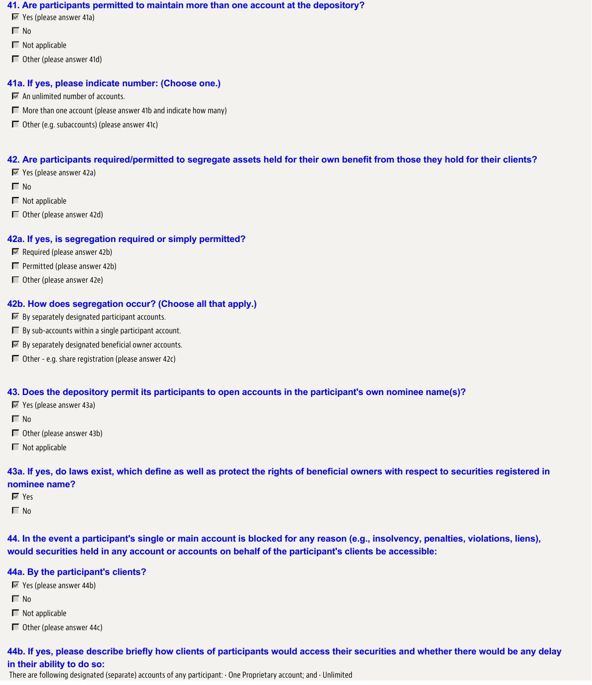#### **41. Are participants permitted to maintain more than one account at the depository?**

- $\blacktriangleright$  Yes (please answer 41a)
- $\Gamma$  No
- $\Box$  Not applicable
- Other (please answer 41d)

### **41a. If yes, please indicate number: (Choose one.)**

- $\blacksquare$  An unlimited number of accounts.
- $\Box$  More than one account (please answer 41b and indicate how many)
- $\Box$  Other (e.g. subaccounts) (please answer 41c)

## **42. Are participants required/permitted to segregate assets held for their own benefit from those they hold for their clients?**

- Yes (please answer 42a)
- $\Box$  No
- $\blacksquare$  Not applicable
- Other (please answer 42d)

## **42a. If yes, is segregation required or simply permitted?**

- $\blacksquare$  Required (please answer 42b)
- $\Box$  Permitted (please answer 42b)
- Other (please answer 42e)

## **42b. How does segregation occur? (Choose all that apply.)**

- $\blacksquare$  By separately designated participant accounts.
- $\Box$  By sub-accounts within a single participant account.
- $\blacksquare$  By separately designated beneficial owner accounts.
- Other e.g. share registration (please answer 42c)

## **43. Does the depository permit its participants to open accounts in the participant's own nominee name(s)?**

- Yes (please answer 43a)
- $\Box$  No
- Other (please answer 43b)
- $\Box$  Not applicable

# **43a. If yes, do laws exist, which define as well as protect the rights of beneficial owners with respect to securities registered in nominee name?**

- Yes
- $\Box$  No

**44. In the event a participant's single or main account is blocked for any reason (e.g., insolvency, penalties, violations, liens), would securities held in any account or accounts on behalf of the participant's clients be accessible:**

## **44a. By the participant's clients?**

- $\blacktriangleright$  Yes (please answer 44b)
- $\Box$  No
- $\Box$  Not applicable
- Other (please answer 44c)

# **44b. If yes, please describe briefly how clients of participants would access their securities and whether there would be any delay in their ability to do so:**

There are following designated (separate) accounts of any participant: • One Proprietary account; and • Unlimited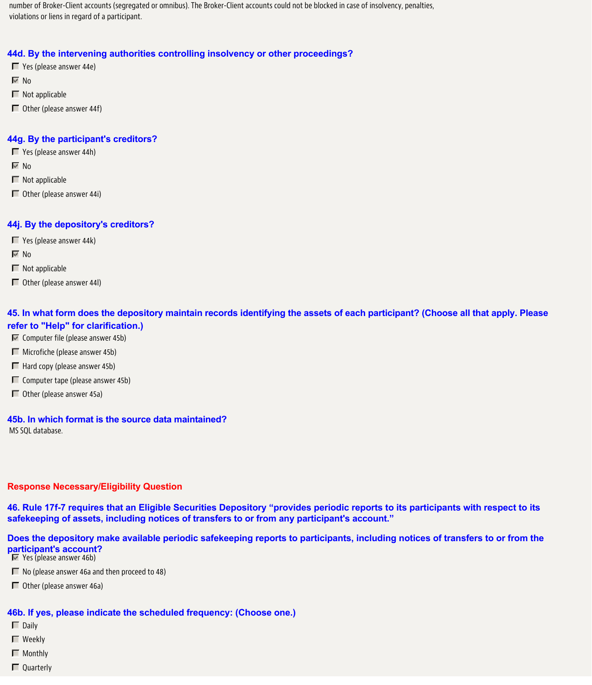number of Broker-Client accounts (segregated or omnibus). The Broker-Client accounts could not be blocked in case of insolvency, penalties, violations or liens in regard of a participant.

### **44d. By the intervening authorities controlling insolvency or other proceedings?**

- Yes (please answer 44e)
- $\nabla$  No
- $\blacksquare$  Not applicable
- Other (please answer 44f)

### **44g. By the participant's creditors?**

- Yes (please answer 44h)
- $\overline{V}$  No
- $\blacksquare$  Not applicable
- $\Box$  Other (please answer 44i)

## **44j. By the depository's creditors?**

- $\Box$  Yes (please answer 44k)
- $\overline{V}$  No
- $\Box$  Not applicable
- Other (please answer 44l)

# **45. In what form does the depository maintain records identifying the assets of each participant? (Choose all that apply. Please refer to "Help" for clarification.)**

- $\blacksquare$  Computer file (please answer 45b)
- $\blacksquare$  Microfiche (please answer 45b)
- $\Box$  Hard copy (please answer 45b)
- $\Box$  Computer tape (please answer 45b)
- $\Box$  Other (please answer 45a)

## **45b. In which format is the source data maintained?**

MS SQL database.

#### **Response Necessary/Eligibility Question**

**46. Rule 17f-7 requires that an Eligible Securities Depository "provides periodic reports to its participants with respect to its safekeeping of assets, including notices of transfers to or from any participant's account."**

# **Does the depository make available periodic safekeeping reports to participants, including notices of transfers to or from the participant's account?**

- **Yes (please answer 46b)**
- $\Box$  No (please answer 46a and then proceed to 48)
- Other (please answer 46a)

#### **46b. If yes, please indicate the scheduled frequency: (Choose one.)**

- $\Box$  Daily
- Weekly
- **Monthly**
- $\Box$  Quarterly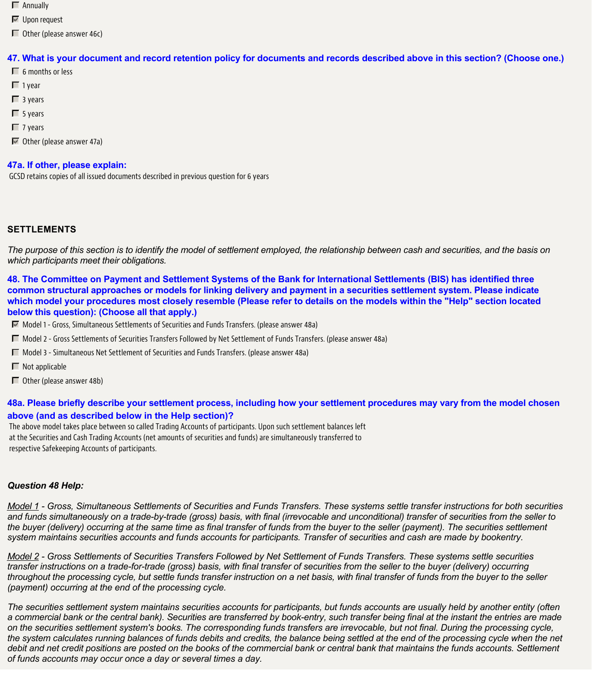- Annually
- **■** Upon request
- $\Box$  Other (please answer 46c)

# **47. What is your document and record retention policy for documents and records described above in this section? (Choose one.)**

- $\Box$  6 months or less
- $\Box$  1 year
- $\Box$  3 years
- $\Box$  5 years
- $\Box$  7 years

Other (please answer 47a)

# **47a. If other, please explain:**

GCSD retains copies of all issued documents described in previous question for 6 years

# **SETTLEMENTS**

*The purpose of this section is to identify the model of settlement employed, the relationship between cash and securities, and the basis on which participants meet their obligations.*

**48. The Committee on Payment and Settlement Systems of the Bank for International Settlements (BIS) has identified three common structural approaches or models for linking delivery and payment in a securities settlement system. Please indicate which model your procedures most closely resemble (Please refer to details on the models within the "Help" section located below this question): (Choose all that apply.)**

- Model 1 Gross, Simultaneous Settlements of Securities and Funds Transfers. (please answer 48a)
- Model 2 Gross Settlements of Securities Transfers Followed by Net Settlement of Funds Transfers. (please answer 48a)
- $\Box$  Model 3 Simultaneous Net Settlement of Securities and Funds Transfers. (please answer 48a)
- $\blacksquare$  Not applicable
- $\Box$  Other (please answer 48b)

# **48a. Please briefly describe your settlement process, including how your settlement procedures may vary from the model chosen above (and as described below in the Help section)?**

The above model takes place between so called Trading Accounts of participants. Upon such settlement balances left at the Securities and Cash Trading Accounts (net amounts of securities and funds) are simultaneously transferred to respective Safekeeping Accounts of participants.

# *Question 48 Help:*

*Model 1 - Gross, Simultaneous Settlements of Securities and Funds Transfers. These systems settle transfer instructions for both securities and funds simultaneously on a trade-by-trade (gross) basis, with final (irrevocable and unconditional) transfer of securities from the seller to the buyer (delivery) occurring at the same time as final transfer of funds from the buyer to the seller (payment). The securities settlement system maintains securities accounts and funds accounts for participants. Transfer of securities and cash are made by bookentry.*

*Model 2 - Gross Settlements of Securities Transfers Followed by Net Settlement of Funds Transfers. These systems settle securities transfer instructions on a trade-for-trade (gross) basis, with final transfer of securities from the seller to the buyer (delivery) occurring throughout the processing cycle, but settle funds transfer instruction on a net basis, with final transfer of funds from the buyer to the seller (payment) occurring at the end of the processing cycle.*

*The securities settlement system maintains securities accounts for participants, but funds accounts are usually held by another entity (often a commercial bank or the central bank). Securities are transferred by book-entry, such transfer being final at the instant the entries are made on the securities settlement system's books. The corresponding funds transfers are irrevocable, but not final. During the processing cycle, the system calculates running balances of funds debits and credits, the balance being settled at the end of the processing cycle when the net debit and net credit positions are posted on the books of the commercial bank or central bank that maintains the funds accounts. Settlement of funds accounts may occur once a day or several times a day.*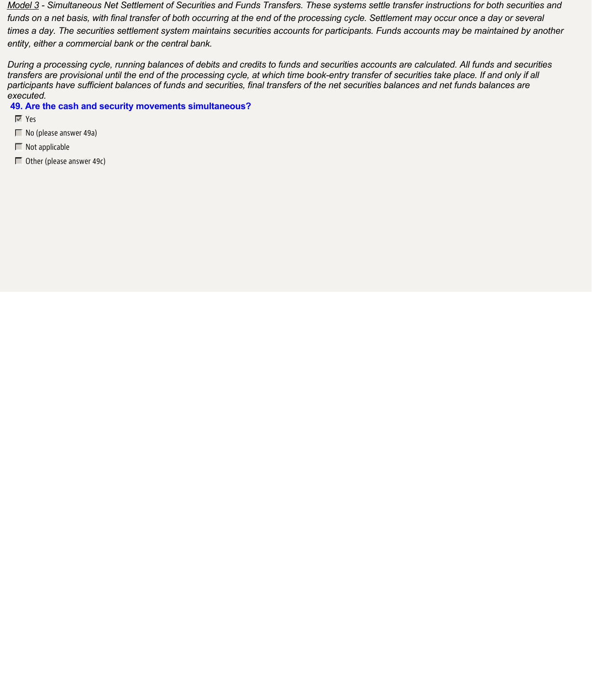*Model 3 - Simultaneous Net Settlement of Securities and Funds Transfers. These systems settle transfer instructions for both securities and funds on a net basis, with final transfer of both occurring at the end of the processing cycle. Settlement may occur once a day or several times a day. The securities settlement system maintains securities accounts for participants. Funds accounts may be maintained by another entity, either a commercial bank or the central bank.*

*During a processing cycle, running balances of debits and credits to funds and securities accounts are calculated. All funds and securities transfers are provisional until the end of the processing cycle, at which time book-entry transfer of securities take place. If and only if all participants have sufficient balances of funds and securities, final transfers of the net securities balances and net funds balances are executed.*

### **49. Are the cash and security movements simultaneous?**

- Yes
- No (please answer 49a)
- $\blacksquare$  Not applicable
- $\Box$  Other (please answer 49c)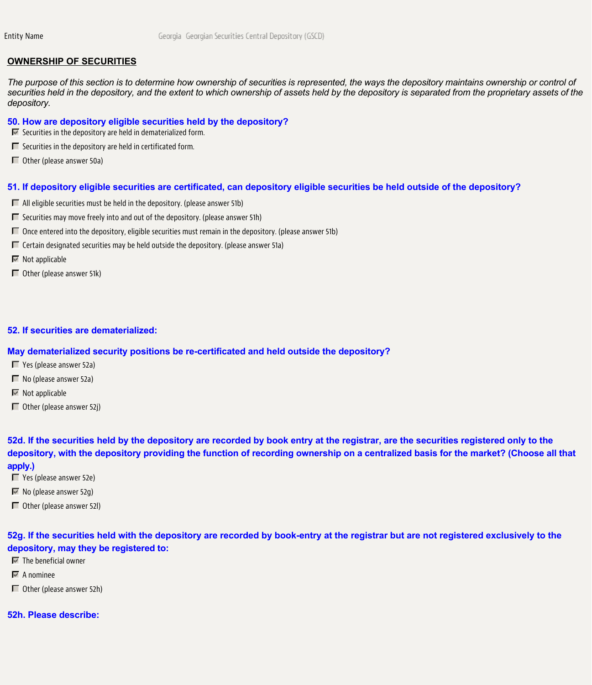### **OWNERSHIP OF SECURITIES**

*The purpose of this section is to determine how ownership of securities is represented, the ways the depository maintains ownership or control of securities held in the depository, and the extent to which ownership of assets held by the depository is separated from the proprietary assets of the depository.*

### **50. How are depository eligible securities held by the depository?**

- $\blacksquare$  Securities in the depository are held in dematerialized form.
- $\Box$  Securities in the depository are held in certificated form.
- Other (please answer 50a)

#### **51. If depository eligible securities are certificated, can depository eligible securities be held outside of the depository?**

- $\Box$  All eligible securities must be held in the depository. (please answer 51b)
- $\Box$  Securities may move freely into and out of the depository. (please answer 51h)
- $\Box$  Once entered into the depository, eligible securities must remain in the depository. (please answer 51b)
- $\Box$  Certain designated securities may be held outside the depository. (please answer 51a)
- $\blacksquare$  Not applicable
- $\Box$  Other (please answer 51k)

#### **52. If securities are dematerialized:**

### **May dematerialized security positions be re-certificated and held outside the depository?**

- Yes (please answer 52a)
- $\blacksquare$  No (please answer 52a)
- $\blacksquare$  Not applicable
- $\Box$  Other (please answer 52j)

**52d. If the securities held by the depository are recorded by book entry at the registrar, are the securities registered only to the depository, with the depository providing the function of recording ownership on a centralized basis for the market? (Choose all that apply.)**

- Yes (please answer 52e)
- $\overline{\mathbb{M}}$  No (please answer 52g)
- Other (please answer 52l)

**52g. If the securities held with the depository are recorded by book-entry at the registrar but are not registered exclusively to the depository, may they be registered to:**

- $\blacksquare$  The beneficial owner
- $\overline{\mathbf{A}}$  A nominee
- Other (please answer 52h)

#### **52h. Please describe:**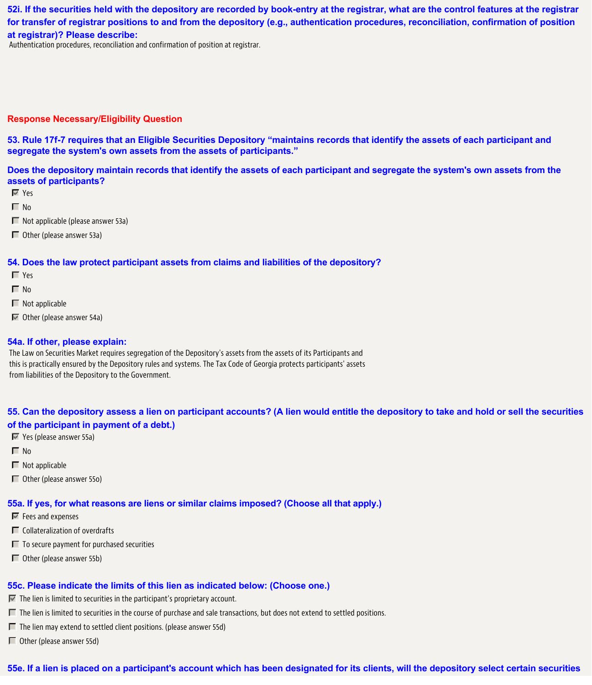**52i. If the securities held with the depository are recorded by book-entry at the registrar, what are the control features at the registrar for transfer of registrar positions to and from the depository (e.g., authentication procedures, reconciliation, confirmation of position at registrar)? Please describe:**

Authentication procedures, reconciliation and confirmation of position at registrar.

#### **Response Necessary/Eligibility Question**

**53. Rule 17f-7 requires that an Eligible Securities Depository "maintains records that identify the assets of each participant and segregate the system's own assets from the assets of participants."**

**Does the depository maintain records that identify the assets of each participant and segregate the system's own assets from the assets of participants?**

- Yes
- $\Box$  No
- $\Box$  Not applicable (please answer 53a)
- Other (please answer 53a)

#### **54. Does the law protect participant assets from claims and liabilities of the depository?**

- **T** Yes
- $\Box$  No
- $\Box$  Not applicable
- $\overline{\triangleright}$  Other (please answer 54a)

#### **54a. If other, please explain:**

The Law on Securities Market requires segregation of the Depository's assets from the assets of its Participants and this is practically ensured by the Depository rules and systems. The Tax Code of Georgia protects participants' assets from liabilities of the Depository to the Government.

# **55. Can the depository assess a lien on participant accounts? (A lien would entitle the depository to take and hold or sell the securities of the participant in payment of a debt.)**

- Yes (please answer 55a)
- $\Box$  No
- $\blacksquare$  Not applicable
- Other (please answer 55o)

#### **55a. If yes, for what reasons are liens or similar claims imposed? (Choose all that apply.)**

- **Fees and expenses**
- $\Box$  Collateralization of overdrafts
- $\Box$  To secure payment for purchased securities
- Other (please answer 55b)

## **55c. Please indicate the limits of this lien as indicated below: (Choose one.)**

- $\blacksquare$  The lien is limited to securities in the participant's proprietary account.
- $\Box$  The lien is limited to securities in the course of purchase and sale transactions, but does not extend to settled positions.
- $\Box$  The lien may extend to settled client positions. (please answer 55d)
- $\Box$  Other (please answer 55d)

## **55e. If a lien is placed on a participant's account which has been designated for its clients, will the depository select certain securities**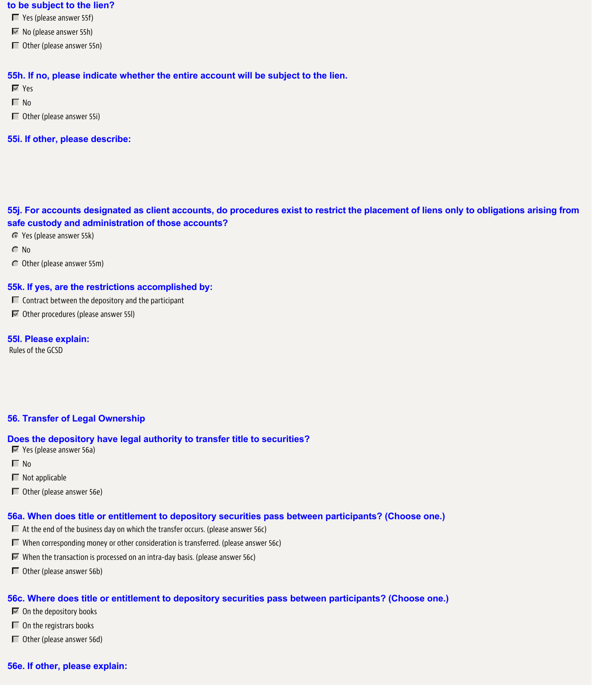#### **to be subject to the lien?**

Yes (please answer 55f)

- $\overline{\mathbb{M}}$  No (please answer 55h)
- Other (please answer 55n)

#### **55h. If no, please indicate whether the entire account will be subject to the lien.**

Yes

- $\Box$  No
- Other (please answer 55i)
- **55i. If other, please describe:**

# **55j. For accounts designated as client accounts, do procedures exist to restrict the placement of liens only to obligations arising from safe custody and administration of those accounts?**

- Yes (please answer 55k)
- C No
- Other (please answer 55m)

#### **55k. If yes, are the restrictions accomplished by:**

- $\Box$  Contract between the depository and the participant
- Other procedures (please answer 55l)

### **55l. Please explain:**

Rules of the GCSD

### **56. Transfer of Legal Ownership**

#### **Does the depository have legal authority to transfer title to securities?**

- Yes (please answer 56a)
- $\Box$  No
- $\blacksquare$  Not applicable
- Other (please answer 56e)

#### **56a. When does title or entitlement to depository securities pass between participants? (Choose one.)**

- $\Box$  At the end of the business day on which the transfer occurs. (please answer 56c)
- When corresponding money or other consideration is transferred. (please answer 56c)
- $\nabla$  When the transaction is processed on an intra-day basis. (please answer 56c)
- Other (please answer 56b)

#### **56c. Where does title or entitlement to depository securities pass between participants? (Choose one.)**

- $\blacksquare$  On the depository books
- $\Box$  On the registrars books
- Other (please answer 56d)

## **56e. If other, please explain:**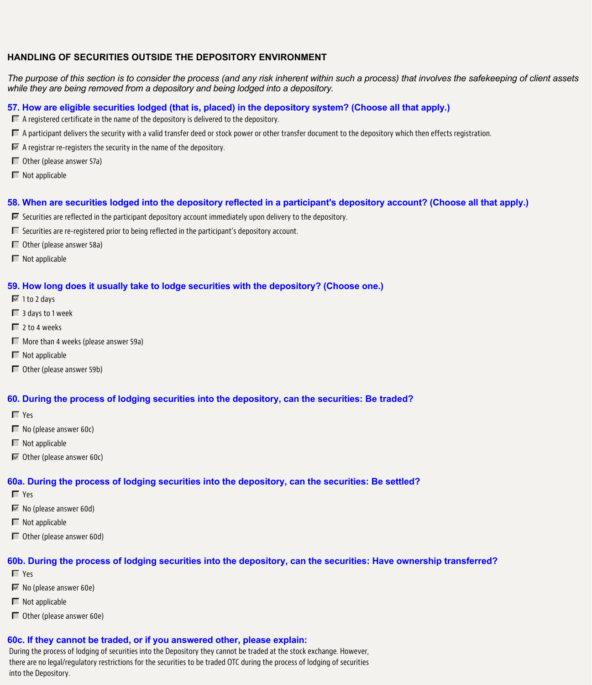## **HANDLING OF SECURITIES OUTSIDE THE DEPOSITORY ENVIRONMENT**

*The purpose of this section is to consider the process (and any risk inherent within such a process) that involves the safekeeping of client assets while they are being removed from a depository and being lodged into a depository.*

### **57. How are eligible securities lodged (that is, placed) in the depository system? (Choose all that apply.)**

- $\Box$  A registered certificate in the name of the depository is delivered to the depository.
- $\Box$  A participant delivers the security with a valid transfer deed or stock power or other transfer document to the depository which then effects registration.
- $\blacksquare$  A registrar re-registers the security in the name of the depository.
- $\Box$  Other (please answer 57a)
- $\blacksquare$  Not applicable

### **58. When are securities lodged into the depository reflected in a participant's depository account? (Choose all that apply.)**

- $\overline{M}$  Securities are reflected in the participant depository account immediately upon delivery to the depository.
- $\Box$  Securities are re-registered prior to being reflected in the participant's depository account.
- Other (please answer 58a)
- $\blacksquare$  Not applicable

#### **59. How long does it usually take to lodge securities with the depository? (Choose one.)**

- $\sqrt{2}$  1 to 2 days
- $\Box$  3 days to 1 week
- $\Box$  2 to 4 weeks
- $\Box$  More than 4 weeks (please answer 59a)
- $\blacksquare$  Not applicable
- Other (please answer 59b)

#### **60. During the process of lodging securities into the depository, can the securities: Be traded?**

- **T** Yes
- $\Box$  No (please answer 60c)
- $\blacksquare$  Not applicable
- Other (please answer 60c)

#### **60a. During the process of lodging securities into the depository, can the securities: Be settled?**

- Yes
- $\blacksquare$  No (please answer 60d)
- $\blacksquare$  Not applicable
- $\Box$  Other (please answer 60d)

#### **60b. During the process of lodging securities into the depository, can the securities: Have ownership transferred?**

- Yes
- $\blacksquare$  No (please answer 60e)
- $\Box$  Not applicable
- $\Box$  Other (please answer 60e)

# **60c. If they cannot be traded, or if you answered other, please explain:**

During the process of lodging of securities into the Depository they cannot be traded at the stock exchange. However, there are no legal/regulatory restrictions for the securities to be traded OTC during the process of lodging of securities into the Depository.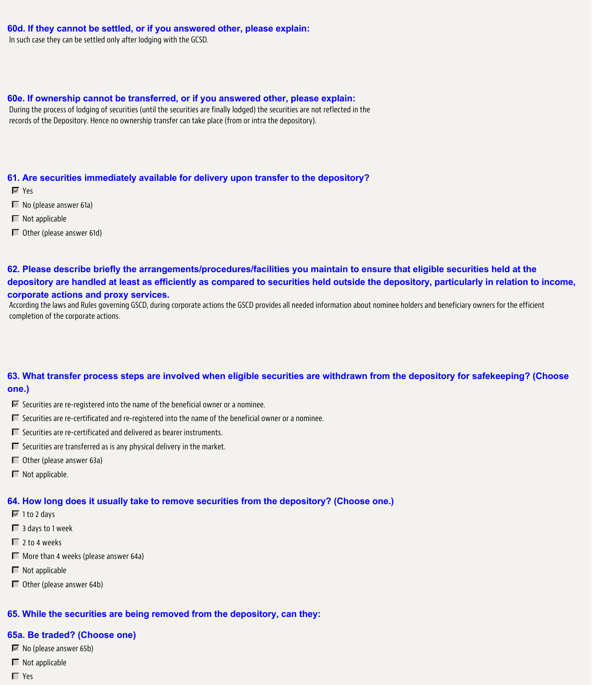### **60d. If they cannot be settled, or if you answered other, please explain:**

In such case they can be settled only after lodging with the GCSD.

#### **60e. If ownership cannot be transferred, or if you answered other, please explain:**

During the process of lodging of securities (until the securities are finally lodged) the securities are not reflected in the records of the Depository. Hence no ownership transfer can take place (from or intra the depository).

#### **61. Are securities immediately available for delivery upon transfer to the depository?**

- Yes
- No (please answer 61a)
- $\blacksquare$  Not applicable
- $\Box$  Other (please answer 61d)

# **62. Please describe briefly the arrangements/procedures/facilities you maintain to ensure that eligible securities held at the depository are handled at least as efficiently as compared to securities held outside the depository, particularly in relation to income, corporate actions and proxy services.**

According the laws and Rules governing GSCD, during corporate actions the GSCD provides all needed information about nominee holders and beneficiary owners for the efficient completion of the corporate actions.

## **63. What transfer process steps are involved when eligible securities are withdrawn from the depository for safekeeping? (Choose one.)**

- $\blacksquare$  Securities are re-registered into the name of the beneficial owner or a nominee.
- Securities are re-certificated and re-registered into the name of the beneficial owner or a nominee.
- $\Box$  Securities are re-certificated and delivered as bearer instruments.
- $\Box$  Securities are transferred as is any physical delivery in the market.
- Other (please answer 63a)
- $\Box$  Not applicable.

#### **64. How long does it usually take to remove securities from the depository? (Choose one.)**

- $\overline{\boxtimes}$  1 to 2 days
- 3 days to 1 week
- $\Box$  2 to 4 weeks
- $\Box$  More than 4 weeks (please answer 64a)
- $\blacksquare$  Not applicable
- $\Box$  Other (please answer 64b)

## **65. While the securities are being removed from the depository, can they:**

#### **65a. Be traded? (Choose one)**

- $\overline{\mathbb{M}}$  No (please answer 65b)
- $\blacksquare$  Not applicable
- **T** Yes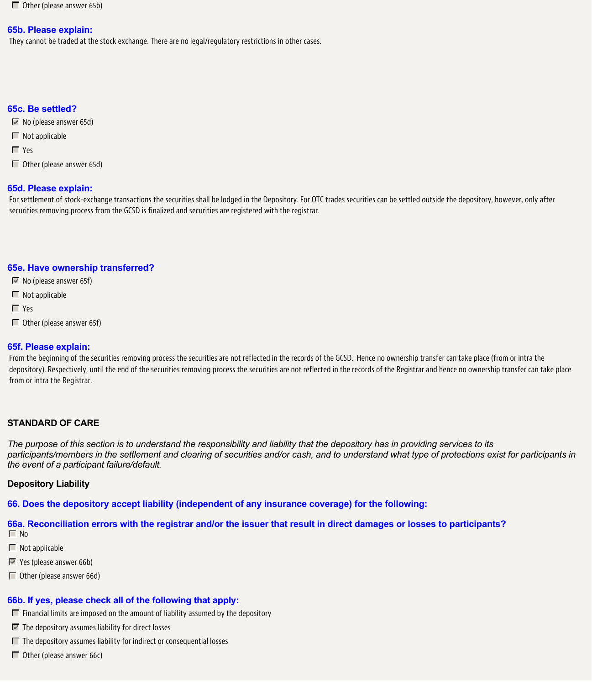$\Box$  Other (please answer 65b)

#### **65b. Please explain:**

They cannot be traded at the stock exchange. There are no legal/regulatory restrictions in other cases.

# **65c. Be settled?**

- $\overline{\triangledown}$  No (please answer 65d)
- $\blacksquare$  Not applicable
- Yes
- Other (please answer 65d)

# **65d. Please explain:**

For settlement of stock-exchange transactions the securities shall be lodged in the Depository. For OTC trades securities can be settled outside the depository, however, only after securities removing process from the GCSD is finalized and securities are registered with the registrar.

# **65e. Have ownership transferred?**

- $\overline{\triangledown}$  No (please answer 65f)
- $\blacksquare$  Not applicable
- Yes
- Other (please answer 65f)

## **65f. Please explain:**

From the beginning of the securities removing process the securities are not reflected in the records of the GCSD. Hence no ownership transfer can take place (from or intra the depository). Respectively, until the end of the securities removing process the securities are not reflected in the records of the Registrar and hence no ownership transfer can take place from or intra the Registrar.

# **STANDARD OF CARE**

*The purpose of this section is to understand the responsibility and liability that the depository has in providing services to its participants/members in the settlement and clearing of securities and/or cash, and to understand what type of protections exist for participants in the event of a participant failure/default.*

## **Depository Liability**

**66. Does the depository accept liability (independent of any insurance coverage) for the following:**

# **66a. Reconciliation errors with the registrar and/or the issuer that result in direct damages or losses to participants?**

 $\Box$  No

- $\blacksquare$  Not applicable
- $\blacksquare$  Yes (please answer 66b)
- Other (please answer 66d)

## **66b. If yes, please check all of the following that apply:**

- $\Box$  Financial limits are imposed on the amount of liability assumed by the depository
- $\blacksquare$  The depository assumes liability for direct losses
- $\Box$  The depository assumes liability for indirect or consequential losses
- Other (please answer 66c)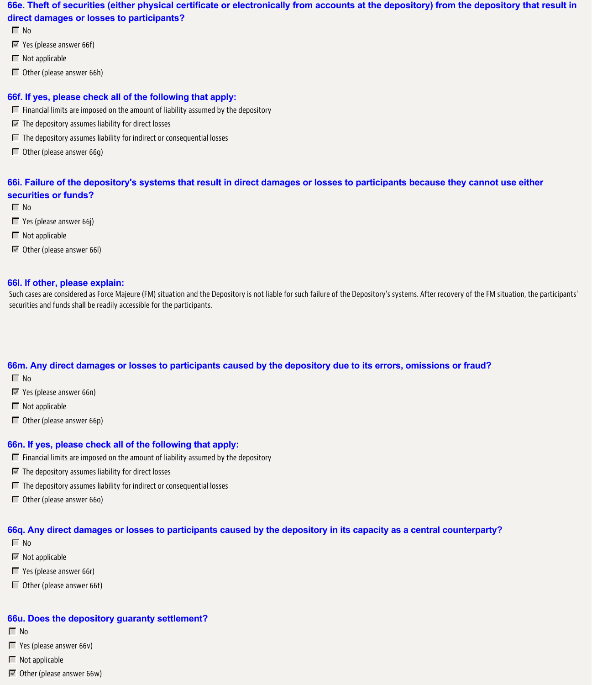# **66e. Theft of securities (either physical certificate or electronically from accounts at the depository) from the depository that result in direct damages or losses to participants?**

 $\Box$  No

- Yes (please answer 66f)
- $\blacksquare$  Not applicable
- Other (please answer 66h)

# **66f. If yes, please check all of the following that apply:**

- $\Box$  Financial limits are imposed on the amount of liability assumed by the depository
- $\blacksquare$  The depository assumes liability for direct losses
- $\Box$  The depository assumes liability for indirect or consequential losses
- $\Box$  Other (please answer 66g)

# **66i. Failure of the depository's systems that result in direct damages or losses to participants because they cannot use either securities or funds?**

- $\Box$  No
- Yes (please answer 66j)
- $\Box$  Not applicable
- Other (please answer 66l)

## **66l. If other, please explain:**

Such cases are considered as Force Majeure (FM) situation and the Depository is not liable for such failure of the Depository's systems. After recovery of the FM situation, the participants' securities and funds shall be readily accessible for the participants.

## **66m. Any direct damages or losses to participants caused by the depository due to its errors, omissions or fraud?**

- $\Box$  No
- Yes (please answer 66n)
- $\blacksquare$  Not applicable
- Other (please answer 66p)

## **66n. If yes, please check all of the following that apply:**

- $\Box$  Financial limits are imposed on the amount of liability assumed by the depository
- $\blacksquare$  The depository assumes liability for direct losses
- $\Box$  The depository assumes liability for indirect or consequential losses
- Other (please answer 66o)

# **66q. Any direct damages or losses to participants caused by the depository in its capacity as a central counterparty?**

- $\Box$  No
- $\blacksquare$  Not applicable
- Yes (please answer 66r)
- Other (please answer 66t)

## **66u. Does the depository guaranty settlement?**

- $\Box$  No
- $\blacksquare$  Yes (please answer 66v)
- $\Box$  Not applicable
- $\blacksquare$  Other (please answer 66w)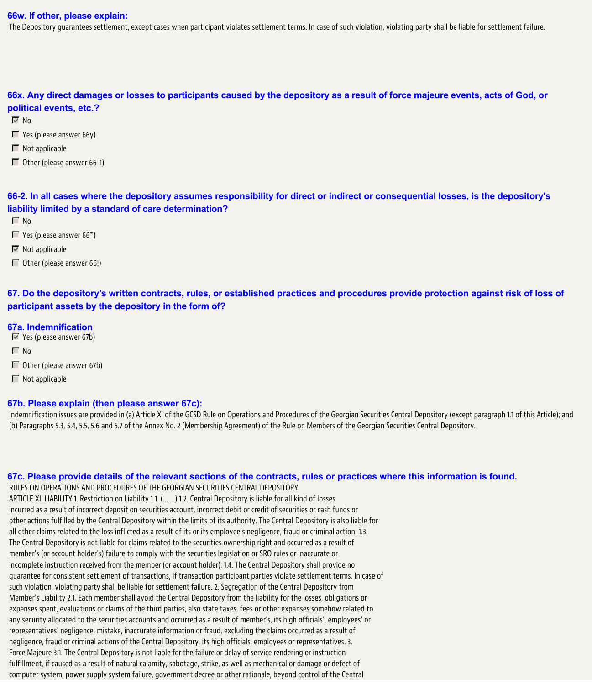#### **66w. If other, please explain:**

The Depository guarantees settlement, except cases when participant violates settlement terms. In case of such violation, violating party shall be liable for settlement failure.

**66x. Any direct damages or losses to participants caused by the depository as a result of force majeure events, acts of God, or political events, etc.?**

 $\overline{\vee}$  No

- $\Box$  Yes (please answer 66y)
- $\blacksquare$  Not applicable
- $\Box$  Other (please answer 66-1)

**66-2. In all cases where the depository assumes responsibility for direct or indirect or consequential losses, is the depository's liability limited by a standard of care determination?**

- $\Box$  No
- $\blacksquare$  Yes (please answer 66\*)
- $\overline{\mathbb{M}}$  Not applicable
- Other (please answer 66!)

**67. Do the depository's written contracts, rules, or established practices and procedures provide protection against risk of loss of participant assets by the depository in the form of?**

#### **67a. Indemnification**

- Yes (please answer 67b)
- $\Box$  No
- Other (please answer 67b)
- $\blacksquare$  Not applicable

#### **67b. Please explain (then please answer 67c):**

Indemnification issues are provided in (a) Article XI of the GCSD Rule on Operations and Procedures of the Georgian Securities Central Depository (except paragraph 1.1 of this Article); and (b) Paragraphs 5.3, 5.4, 5.5, 5.6 and 5.7 of the Annex No. 2 (Membership Agreement) of the Rule on Members of the Georgian Securities Central Depository.

**67c. Please provide details of the relevant sections of the contracts, rules or practices where this information is found.**

RULES ON OPERATIONS AND PROCEDURES OF THE GEORGIAN SECURITIES CENTRAL DEPOSITORY ARTICLE XI. LIABILITY 1. Restriction on Liability 1.1. (…….) 1.2. Central Depository is liable for all kind of losses incurred as a result of incorrect deposit on securities account, incorrect debit or credit of securities or cash funds or other actions fulfilled by the Central Depository within the limits of its authority. The Central Depository is also liable for all other claims related to the loss inflicted as a result of its or its employee's negligence, fraud or criminal action. 1.3. The Central Depository is not liable for claims related to the securities ownership right and occurred as a result of member's (or account holder's) failure to comply with the securities legislation or SRO rules or inaccurate or incomplete instruction received from the member (or account holder). 1.4. The Central Depository shall provide no guarantee for consistent settlement of transactions, if transaction participant parties violate settlement terms. In case of such violation, violating party shall be liable for settlement failure. 2. Segregation of the Central Depository from Member's Liability 2.1. Each member shall avoid the Central Depository from the liability for the losses, obligations or expenses spent, evaluations or claims of the third parties, also state taxes, fees or other expanses somehow related to any security allocated to the securities accounts and occurred as a result of member's, its high officials', employees' or representatives' negligence, mistake, inaccurate information or fraud, excluding the claims occurred as a result of negligence, fraud or criminal actions of the Central Depository, its high officials, employees or representatives. 3. Force Majeure 3.1. The Central Depository is not liable for the failure or delay of service rendering or instruction fulfillment, if caused as a result of natural calamity, sabotage, strike, as well as mechanical or damage or defect of computer system, power supply system failure, government decree or other rationale, beyond control of the Central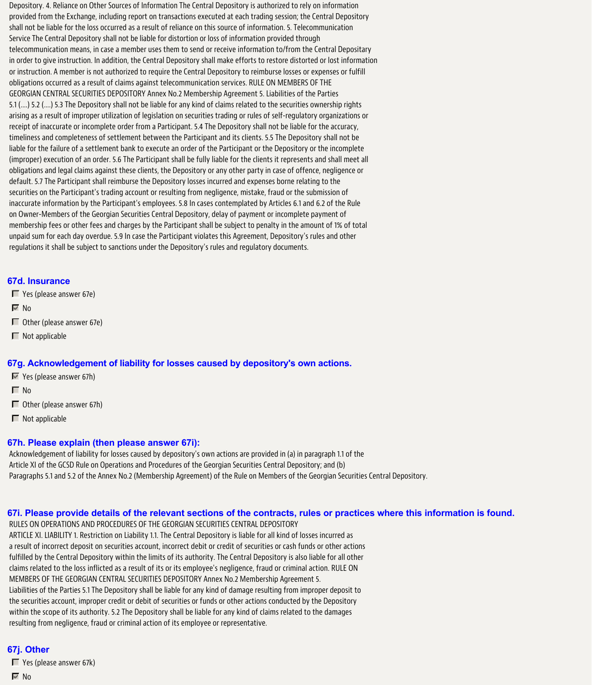Depository. 4. Reliance on Other Sources of Information The Central Depository is authorized to rely on information provided from the Exchange, including report on transactions executed at each trading session; the Central Depository shall not be liable for the loss occurred as a result of reliance on this source of information. 5. Telecommunication Service The Central Depository shall not be liable for distortion or loss of information provided through telecommunication means, in case a member uses them to send or receive information to/from the Central Depositary in order to give instruction. In addition, the Central Depository shall make efforts to restore distorted or lost information or instruction. A member is not authorized to require the Central Depository to reimburse losses or expenses or fulfill obligations occurred as a result of claims against telecommunication services. RULE ON MEMBERS OF THE GEORGIAN CENTRAL SECURITIES DEPOSITORY Annex No.2 Membership Agreement 5. Liabilities of the Parties 5.1 (….) 5.2 (….) 5.3 The Depository shall not be liable for any kind of claims related to the securities ownership rights arising as a result of improper utilization of legislation on securities trading or rules of self-regulatory organizations or receipt of inaccurate or incomplete order from a Participant. 5.4 The Depository shall not be liable for the accuracy, timeliness and completeness of settlement between the Participant and its clients. 5.5 The Depository shall not be liable for the failure of a settlement bank to execute an order of the Participant or the Depository or the incomplete (improper) execution of an order. 5.6 The Participant shall be fully liable for the clients it represents and shall meet all obligations and legal claims against these clients, the Depository or any other party in case of offence, negligence or default. 5.7 The Participant shall reimburse the Depository losses incurred and expenses borne relating to the securities on the Participant's trading account or resulting from negligence, mistake, fraud or the submission of inaccurate information by the Participant's employees. 5.8 In cases contemplated by Articles 6.1 and 6.2 of the Rule on Owner-Members of the Georgian Securities Central Depository, delay of payment or incomplete payment of membership fees or other fees and charges by the Participant shall be subject to penalty in the amount of 1% of total unpaid sum for each day overdue. 5.9 In case the Participant violates this Agreement, Depository's rules and other regulations it shall be subject to sanctions under the Depository's rules and regulatory documents.

#### **67d. Insurance**

Yes (please answer 67e)

 $\nabla$  No

- Other (please answer 67e)
- $\blacksquare$  Not applicable

#### **67g. Acknowledgement of liability for losses caused by depository's own actions.**

- $\blacktriangleright$  Yes (please answer 67h)
- $\Box$  No
- Other (please answer 67h)
- $\blacksquare$  Not applicable

#### **67h. Please explain (then please answer 67i):**

Acknowledgement of liability for losses caused by depository's own actions are provided in (a) in paragraph 1.1 of the Article XI of the GCSD Rule on Operations and Procedures of the Georgian Securities Central Depository; and (b) Paragraphs 5.1 and 5.2 of the Annex No.2 (Membership Agreement) of the Rule on Members of the Georgian Securities Central Depository.

## **67i. Please provide details of the relevant sections of the contracts, rules or practices where this information is found.**

RULES ON OPERATIONS AND PROCEDURES OF THE GEORGIAN SECURITIES CENTRAL DEPOSITORY ARTICLE XI. LIABILITY 1. Restriction on Liability 1.1. The Central Depository is liable for all kind of losses incurred as a result of incorrect deposit on securities account, incorrect debit or credit of securities or cash funds or other actions fulfilled by the Central Depository within the limits of its authority. The Central Depository is also liable for all other claims related to the loss inflicted as a result of its or its employee's negligence, fraud or criminal action. RULE ON MEMBERS OF THE GEORGIAN CENTRAL SECURITIES DEPOSITORY Annex No.2 Membership Agreement 5. Liabilities of the Parties 5.1 The Depository shall be liable for any kind of damage resulting from improper deposit to the securities account, improper credit or debit of securities or funds or other actions conducted by the Depository within the scope of its authority. 5.2 The Depository shall be liable for any kind of claims related to the damages resulting from negligence, fraud or criminal action of its employee or representative.

## **67j. Other**

- Yes (please answer 67k)
- $\overline{\triangledown}$  No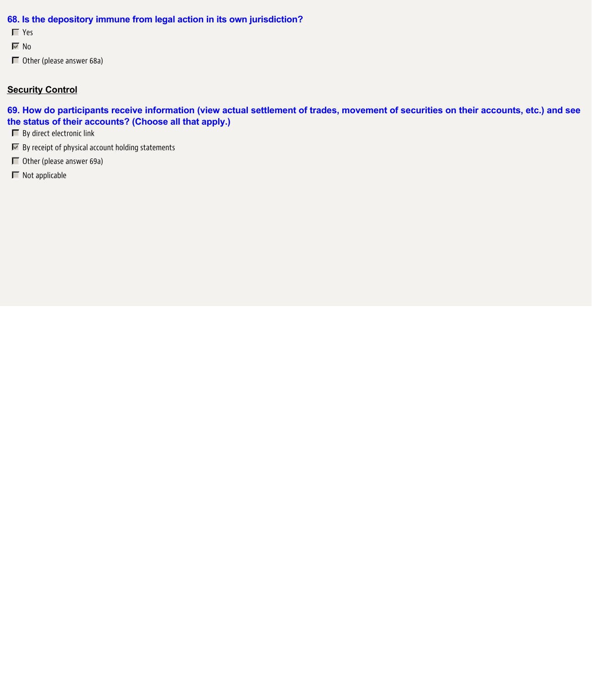# **68. Is the depository immune from legal action in its own jurisdiction?**

- Yes
- $\overline{\triangledown}$  No
- Other (please answer 68a)

# **Security Control**

**69. How do participants receive information (view actual settlement of trades, movement of securities on their accounts, etc.) and see the status of their accounts? (Choose all that apply.)**

- **F** By direct electronic link
- $\blacksquare$  By receipt of physical account holding statements
- Other (please answer 69a)
- $\blacksquare$  Not applicable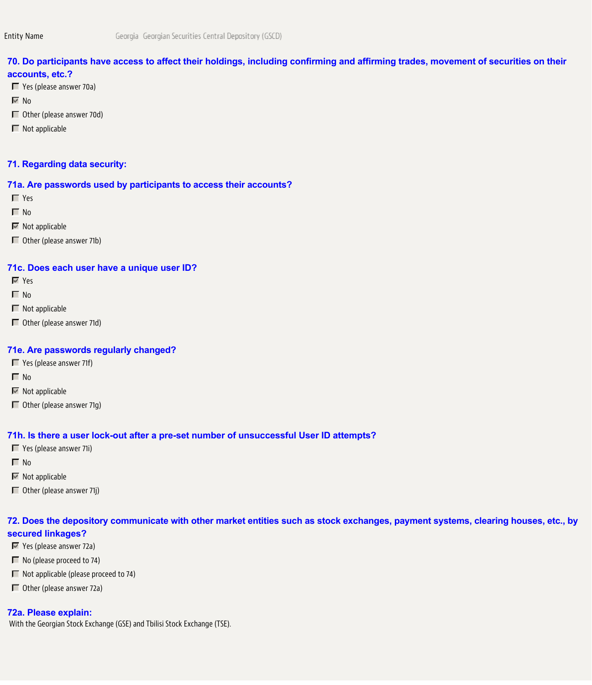# **70. Do participants have access to affect their holdings, including confirming and affirming trades, movement of securities on their accounts, etc.?**

- Yes (please answer 70a)
- $\overline{\triangledown}$  No
- Other (please answer 70d)
- $\Box$  Not applicable

### **71. Regarding data security:**

#### **71a. Are passwords used by participants to access their accounts?**

- Yes
- $\Box$  No
- $\overline{\mathbb{M}}$  Not applicable
- Other (please answer 71b)

#### **71c. Does each user have a unique user ID?**

- Yes
- $\Box$  No
- $\blacksquare$  Not applicable
- Other (please answer 71d)

#### **71e. Are passwords regularly changed?**

- Yes (please answer 71f)
- $\Box$  No
- $\overline{\mathbb{M}}$  Not applicable
- Other (please answer 71g)

#### **71h. Is there a user lock-out after a pre-set number of unsuccessful User ID attempts?**

- Yes (please answer 71i)
- $\Box$  No
- $\overline{\mathbb{M}}$  Not applicable
- $\Box$  Other (please answer 71j)

# **72. Does the depository communicate with other market entities such as stock exchanges, payment systems, clearing houses, etc., by secured linkages?**

- Yes (please answer 72a)
- No (please proceed to 74)
- $\Box$  Not applicable (please proceed to 74)
- Other (please answer 72a)

#### **72a. Please explain:**

With the Georgian Stock Exchange (GSE) and Tbilisi Stock Exchange (TSE).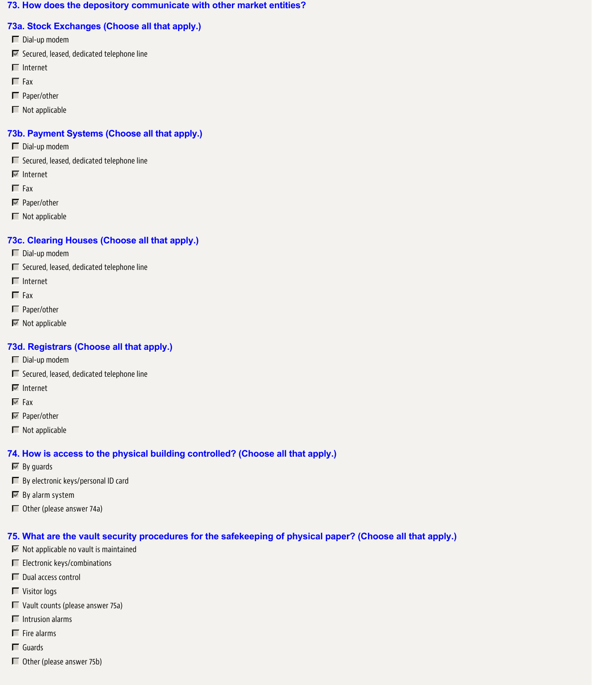### **73. How does the depository communicate with other market entities?**

# **73a. Stock Exchanges (Choose all that apply.)**

- Dial-up modem
- $\blacksquare$  Secured, leased, dedicated telephone line
- $\blacksquare$  Internet
- $\Box$  Fax
- □ Paper/other
- $\blacksquare$  Not applicable

# **73b. Payment Systems (Choose all that apply.)**

- Dial-up modem
- $\Box$  Secured, leased, dedicated telephone line
- $\nabla$  Internet
- $\Gamma$  Fax
- $\nabla$  Paper/other
- $\blacksquare$  Not applicable

# **73c. Clearing Houses (Choose all that apply.)**

- Dial-up modem
- $\Box$  Secured, leased, dedicated telephone line
- $\blacksquare$  Internet
- $\Gamma$  Fax
- Paper/other
- $\overline{\mathbb{M}}$  Not applicable

# **73d. Registrars (Choose all that apply.)**

- Dial-up modem
- $\Box$  Secured, leased, dedicated telephone line
- Internet
- $\nabla$  Fax
- **■** Paper/other
- $\blacksquare$  Not applicable

## **74. How is access to the physical building controlled? (Choose all that apply.)**

- $\overline{\mathbb{M}}$  By guards
- $\Box$  By electronic keys/personal ID card
- $\nabla$  By alarm system
- Other (please answer 74a)

## **75. What are the vault security procedures for the safekeeping of physical paper? (Choose all that apply.)**

- $\blacksquare$  Not applicable no vault is maintained
- **Electronic keys/combinations**
- Dual access control
- **T** Visitor logs
- $\Box$  Vault counts (please answer 75a)
- $\blacksquare$  Intrusion alarms
- $\blacksquare$  Fire alarms
- Guards
- Other (please answer 75b)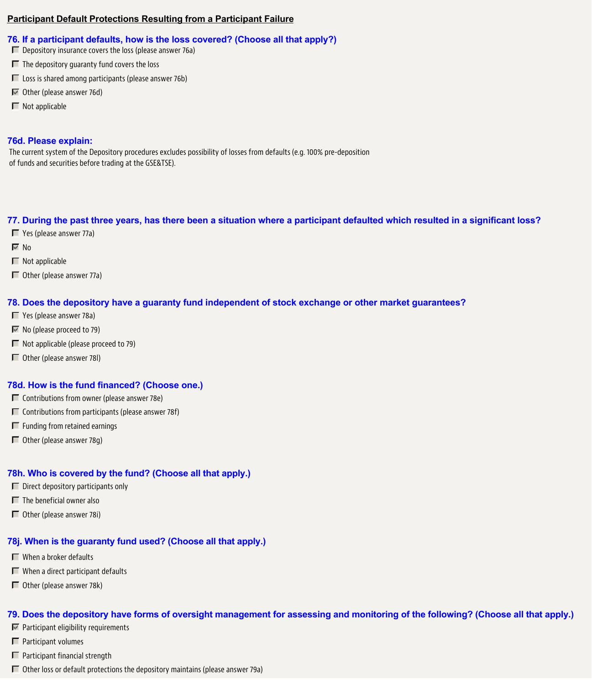## **Participant Default Protections Resulting from a Participant Failure**

# **76. If a participant defaults, how is the loss covered? (Choose all that apply?)**

- $\square$  Depository insurance covers the loss (please answer 76a)
- $\blacksquare$  The depository quaranty fund covers the loss
- $\Box$  Loss is shared among participants (please answer 76b)
- Other (please answer 76d)
- $\blacksquare$  Not applicable

# **76d. Please explain:**

The current system of the Depository procedures excludes possibility of losses from defaults (e.g. 100% pre-deposition of funds and securities before trading at the GSE&TSE).

# **77. During the past three years, has there been a situation where a participant defaulted which resulted in a significant loss?**

- Yes (please answer 77a)
- $\overline{\mathbb{M}}$  No
- $\blacksquare$  Not applicable
- Other (please answer 77a)

# **78. Does the depository have a guaranty fund independent of stock exchange or other market guarantees?**

- Yes (please answer 78a)
- $\blacksquare$  No (please proceed to 79)
- $\Box$  Not applicable (please proceed to 79)
- Other (please answer 78l)

# **78d. How is the fund financed? (Choose one.)**

- $\Box$  Contributions from owner (please answer 78e)
- $\Box$  Contributions from participants (please answer 78f)
- $\Box$  Funding from retained earnings
- Other (please answer 78g)

# **78h. Who is covered by the fund? (Choose all that apply.)**

- $\Box$  Direct depository participants only
- $\blacksquare$  The beneficial owner also
- Other (please answer 78i)

# **78j. When is the guaranty fund used? (Choose all that apply.)**

- When a broker defaults
- $\blacksquare$  When a direct participant defaults
- Other (please answer 78k)

# **79. Does the depository have forms of oversight management for assessing and monitoring of the following? (Choose all that apply.)**

- $\blacksquare$  Participant eligibility requirements
- $\Box$  Participant volumes
- $\Box$  Participant financial strength
- $\Box$  Other loss or default protections the depository maintains (please answer 79a)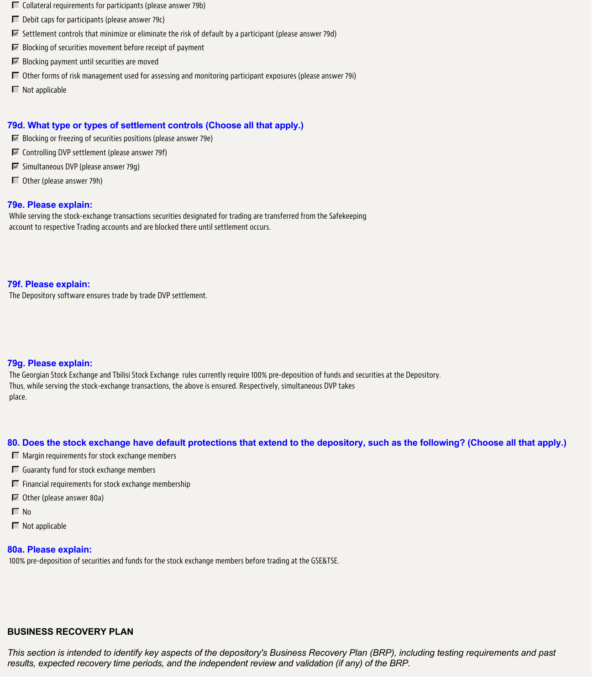- $\Box$  Collateral requirements for participants (please answer 79b)
- $\Box$  Debit caps for participants (please answer 79c)
- $\blacktriangleright$  Settlement controls that minimize or eliminate the risk of default by a participant (please answer 79d)
- $\blacksquare$  Blocking of securities movement before receipt of payment
- $\blacksquare$  Blocking payment until securities are moved
- Other forms of risk management used for assessing and monitoring participant exposures (please answer 79i)
- $\Box$  Not applicable

## **79d. What type or types of settlement controls (Choose all that apply.)**

- $\blacksquare$  Blocking or freezing of securities positions (please answer 79e)
- $\overline{\mathbb{F}}$  Controlling DVP settlement (please answer 79f)
- $\triangleright$  Simultaneous DVP (please answer 79q)
- Other (please answer 79h)

### **79e. Please explain:**

While serving the stock-exchange transactions securities designated for trading are transferred from the Safekeeping account to respective Trading accounts and are blocked there until settlement occurs.

### **79f. Please explain:**

The Depository software ensures trade by trade DVP settlement.

## **79g. Please explain:**

The Georgian Stock Exchange and Tbilisi Stock Exchange rules currently require 100% pre-deposition of funds and securities at the Depository. Thus, while serving the stock-exchange transactions, the above is ensured. Respectively, simultaneous DVP takes place.

#### **80. Does the stock exchange have default protections that extend to the depository, such as the following? (Choose all that apply.)**

- $\Box$  Margin requirements for stock exchange members
- $\Box$  Guaranty fund for stock exchange members
- $\Box$  Financial requirements for stock exchange membership
- $\blacksquare$  Other (please answer 80a)
- $\Gamma$  No
- $\Box$  Not applicable

# **80a. Please explain:**

100% pre-deposition of securities and funds for the stock exchange members before trading at the GSE&TSE.

# **BUSINESS RECOVERY PLAN**

*This section is intended to identify key aspects of the depository's Business Recovery Plan (BRP), including testing requirements and past results, expected recovery time periods, and the independent review and validation (if any) of the BRP.*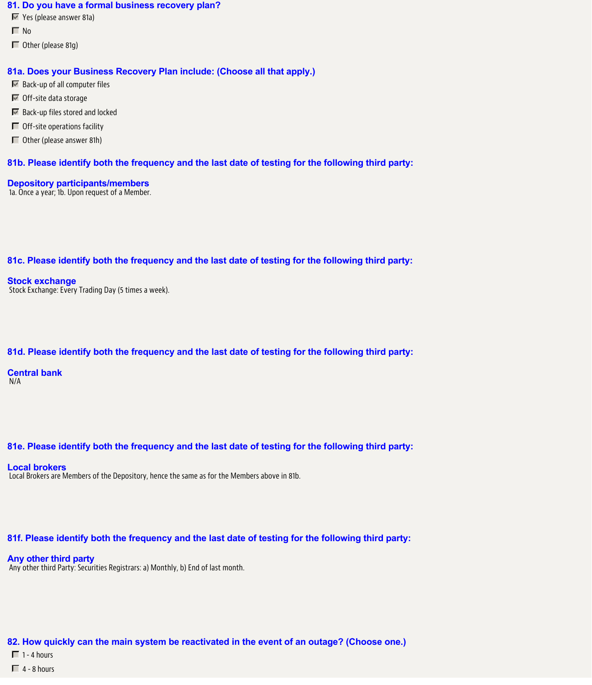#### **81. Do you have a formal business recovery plan?**

- Yes (please answer 81a)
- $\Box$  No
- $\Box$  Other (please 81g)

### **81a. Does your Business Recovery Plan include: (Choose all that apply.)**

- $\blacksquare$  Back-up of all computer files
- Off-site data storage
- $\blacksquare$  Back-up files stored and locked
- $\Box$  Off-site operations facility
- Other (please answer 81h)

## **81b. Please identify both the frequency and the last date of testing for the following third party:**

**Depository participants/members** 1a. Once a year; 1b. Upon request of a Member.

## **81c. Please identify both the frequency and the last date of testing for the following third party:**

**Stock exchange** Stock Exchange: Every Trading Day (5 times a week).

## **81d. Please identify both the frequency and the last date of testing for the following third party:**

**Central bank** N/A

## **81e. Please identify both the frequency and the last date of testing for the following third party:**

#### **Local brokers**

Local Brokers are Members of the Depository, hence the same as for the Members above in 81b.

## **81f. Please identify both the frequency and the last date of testing for the following third party:**

#### **Any other third party**

Any other third Party: Securities Registrars: a) Monthly, b) End of last month.

**82. How quickly can the main system be reactivated in the event of an outage? (Choose one.)**

- $\Box$  1 4 hours
- $\Box$  4 8 hours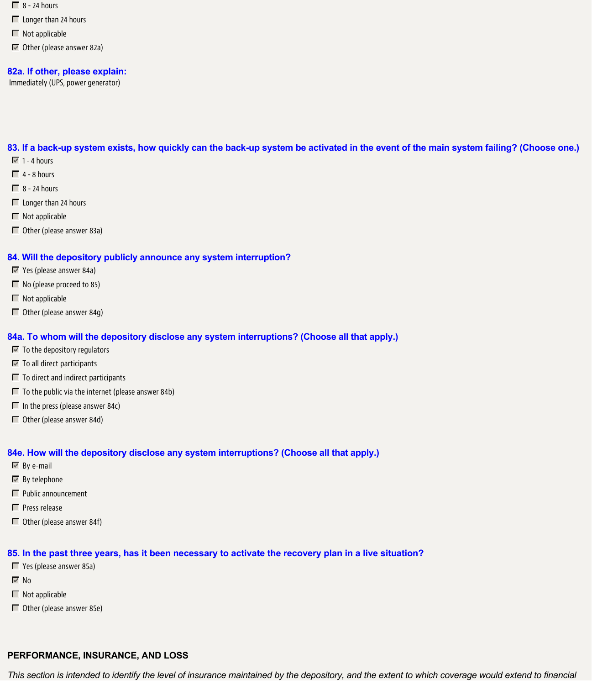- $\Box$  8 24 hours
- Longer than 24 hours
- $\blacksquare$  Not applicable
- $\blacksquare$  Other (please answer 82a)

#### **82a. If other, please explain:**

Immediately (UPS, power generator)

**83. If a back-up system exists, how quickly can the back-up system be activated in the event of the main system failing? (Choose one.)**

- $\sqrt{1}$  1 4 hours
- $\Box$  4 8 hours
- $\Box$  8 24 hours
- **Longer than 24 hours**
- $\blacksquare$  Not applicable
- Other (please answer 83a)

#### **84. Will the depository publicly announce any system interruption?**

- Yes (please answer 84a)
- No (please proceed to 85)
- $\blacksquare$  Not applicable
- Other (please answer 84g)

### **84a. To whom will the depository disclose any system interruptions? (Choose all that apply.)**

- $\blacksquare$  To the depository regulators
- **To all direct participants**
- $\Box$  To direct and indirect participants
- $\Box$  To the public via the internet (please answer 84b)
- $\Box$  In the press (please answer 84c)
- Other (please answer 84d)

#### **84e. How will the depository disclose any system interruptions? (Choose all that apply.)**

- $\overline{\blacksquare}$  By e-mail
- $\overline{\mathbb{M}}$  By telephone
- $\Box$  Public announcement
- $\Box$  Press release
- Other (please answer 84f)

## **85. In the past three years, has it been necessary to activate the recovery plan in a live situation?**

- Yes (please answer 85a)
- $\overline{\triangledown}$  No
- $\blacksquare$  Not applicable
- Other (please answer 85e)

## **PERFORMANCE, INSURANCE, AND LOSS**

*This section is intended to identify the level of insurance maintained by the depository, and the extent to which coverage would extend to financial*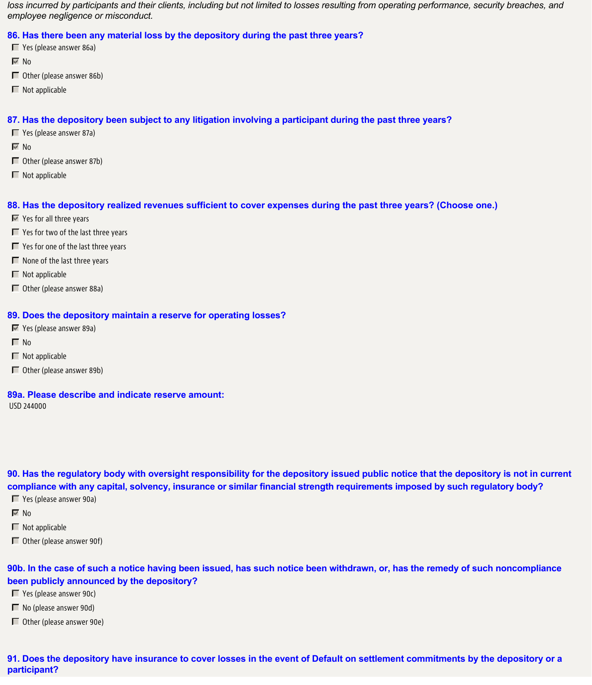*loss incurred by participants and their clients, including but not limited to losses resulting from operating performance, security breaches, and employee negligence or misconduct.*

**86. Has there been any material loss by the depository during the past three years?**

- Yes (please answer 86a)
- $\nabla$  No
- Other (please answer 86b)
- $\blacksquare$  Not applicable

## **87. Has the depository been subject to any litigation involving a participant during the past three years?**

- Yes (please answer 87a)
- $\nabla$  No
- Other (please answer 87b)
- $\blacksquare$  Not applicable

### **88. Has the depository realized revenues sufficient to cover expenses during the past three years? (Choose one.)**

- **Yes for all three years**
- $\Box$  Yes for two of the last three years
- $\Box$  Yes for one of the last three years
- $\blacksquare$  None of the last three years
- $\blacksquare$  Not applicable
- Other (please answer 88a)

#### **89. Does the depository maintain a reserve for operating losses?**

- Yes (please answer 89a)
- $\Box$  No
- $\blacksquare$  Not applicable
- Other (please answer 89b)

#### **89a. Please describe and indicate reserve amount:**

USD 244000

**90. Has the regulatory body with oversight responsibility for the depository issued public notice that the depository is not in current compliance with any capital, solvency, insurance or similar financial strength requirements imposed by such regulatory body?**

- Yes (please answer 90a)
- $\overline{\triangledown}$  No
- $\blacksquare$  Not applicable
- $\Box$  Other (please answer 90f)

**90b. In the case of such a notice having been issued, has such notice been withdrawn, or, has the remedy of such noncompliance been publicly announced by the depository?**

- Yes (please answer 90c)
- No (please answer 90d)
- Other (please answer 90e)

**91. Does the depository have insurance to cover losses in the event of Default on settlement commitments by the depository or a participant?**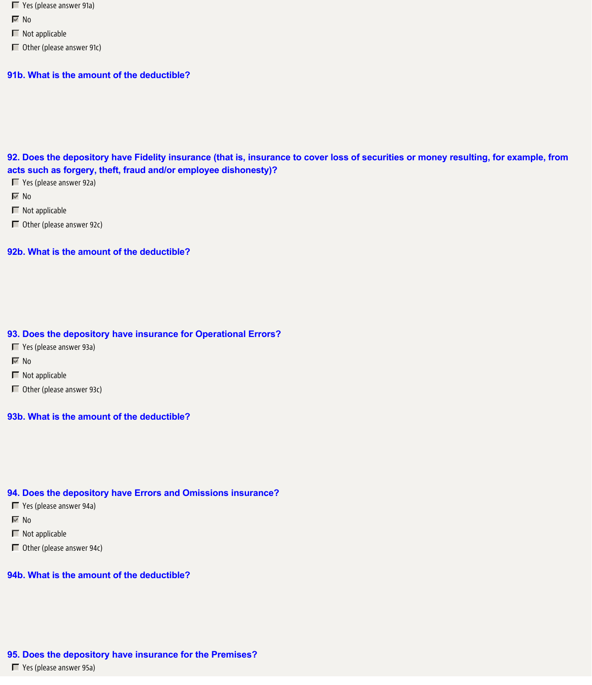- **T** Yes (please answer 91a)
- $\overline{\triangledown}$  No
- $\blacksquare$  Not applicable
- Other (please answer 91c)

#### **91b. What is the amount of the deductible?**

**92. Does the depository have Fidelity insurance (that is, insurance to cover loss of securities or money resulting, for example, from acts such as forgery, theft, fraud and/or employee dishonesty)?**

Yes (please answer 92a)

 $\overline{V}$  No

 $\Box$  Not applicable

Other (please answer 92c)

**92b. What is the amount of the deductible?**

### **93. Does the depository have insurance for Operational Errors?**

- Yes (please answer 93a)
- $\overline{\triangledown}$  No
- $\Box$  Not applicable
- Other (please answer 93c)

**93b. What is the amount of the deductible?**

#### **94. Does the depository have Errors and Omissions insurance?**

- Yes (please answer 94a)
- $\overline{\vee}$  No
- $\blacksquare$  Not applicable
- Other (please answer 94c)

# **94b. What is the amount of the deductible?**

#### **95. Does the depository have insurance for the Premises?**

■ Yes (please answer 95a)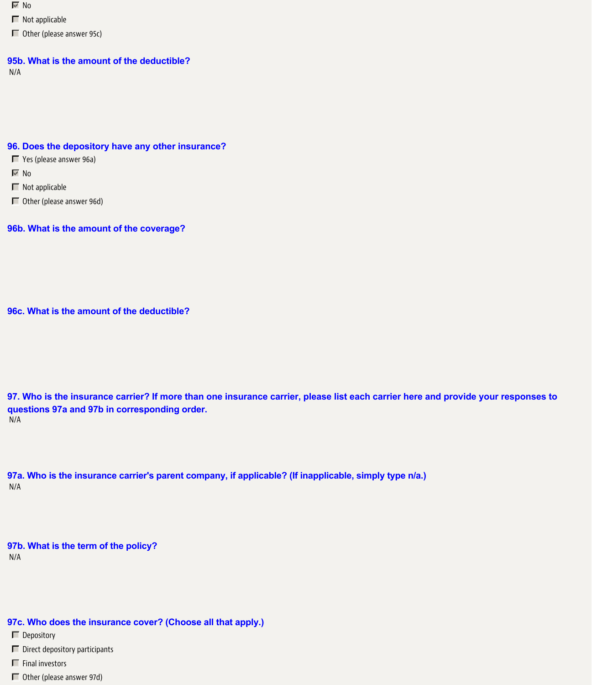$\overline{\triangledown}$  No

 $\Box$  Not applicable

Other (please answer 95c)

### **95b. What is the amount of the deductible?**

N/A

#### **96. Does the depository have any other insurance?**

Yes (please answer 96a)

 $\overline{\vee}$  No

 $\Box$  Not applicable

Other (please answer 96d)

### **96b. What is the amount of the coverage?**

**96c. What is the amount of the deductible?**

**97. Who is the insurance carrier? If more than one insurance carrier, please list each carrier here and provide your responses to questions 97a and 97b in corresponding order.** N/A

**97a. Who is the insurance carrier's parent company, if applicable? (If inapplicable, simply type n/a.)** N/A

**97b. What is the term of the policy?** N/A

# **97c. Who does the insurance cover? (Choose all that apply.)**

Depository

 $\Box$  Direct depository participants

 $\blacksquare$  Final investors

Other (please answer 97d)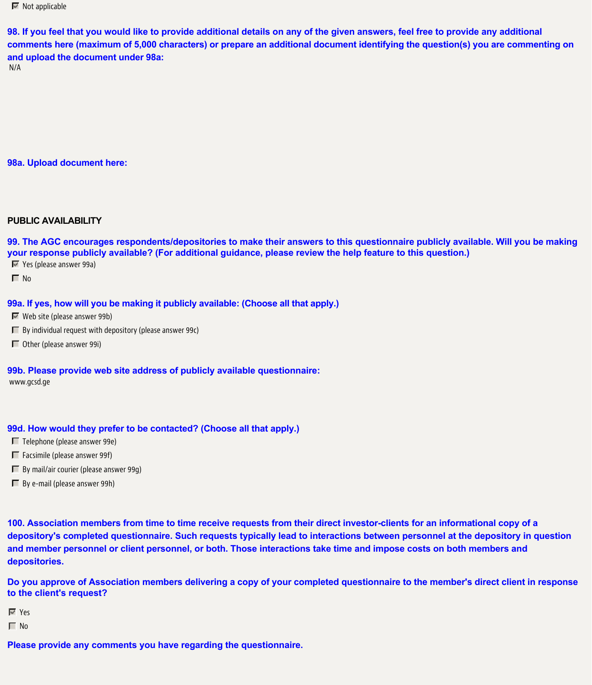$\overline{\mathbb{M}}$  Not applicable

**98. If you feel that you would like to provide additional details on any of the given answers, feel free to provide any additional comments here (maximum of 5,000 characters) or prepare an additional document identifying the question(s) you are commenting on and upload the document under 98a:**

N/A

### **98a. Upload document here:**

### **PUBLIC AVAILABILITY**

**99. The AGC encourages respondents/depositories to make their answers to this questionnaire publicly available. Will you be making your response publicly available? (For additional guidance, please review the help feature to this question.)**

Yes (please answer 99a)

 $\Box$  No

#### **99a. If yes, how will you be making it publicly available: (Choose all that apply.)**

 $\blacksquare$  Web site (please answer 99b)

- $\Box$  By individual request with depository (please answer 99c)
- Other (please answer 99i)

**99b. Please provide web site address of publicly available questionnaire:** www.gcsd.ge

#### **99d. How would they prefer to be contacted? (Choose all that apply.)**

 $\Box$  Telephone (please answer 99e)

 $\Box$  Facsimile (please answer 99f)

- $\Box$  By mail/air courier (please answer 99g)
- $\Box$  By e-mail (please answer 99h)

**100. Association members from time to time receive requests from their direct investor-clients for an informational copy of a depository's completed questionnaire. Such requests typically lead to interactions between personnel at the depository in question and member personnel or client personnel, or both. Those interactions take time and impose costs on both members and depositories.**

**Do you approve of Association members delivering a copy of your completed questionnaire to the member's direct client in response to the client's request?**

Yes

 $\Gamma$  No

**Please provide any comments you have regarding the questionnaire.**